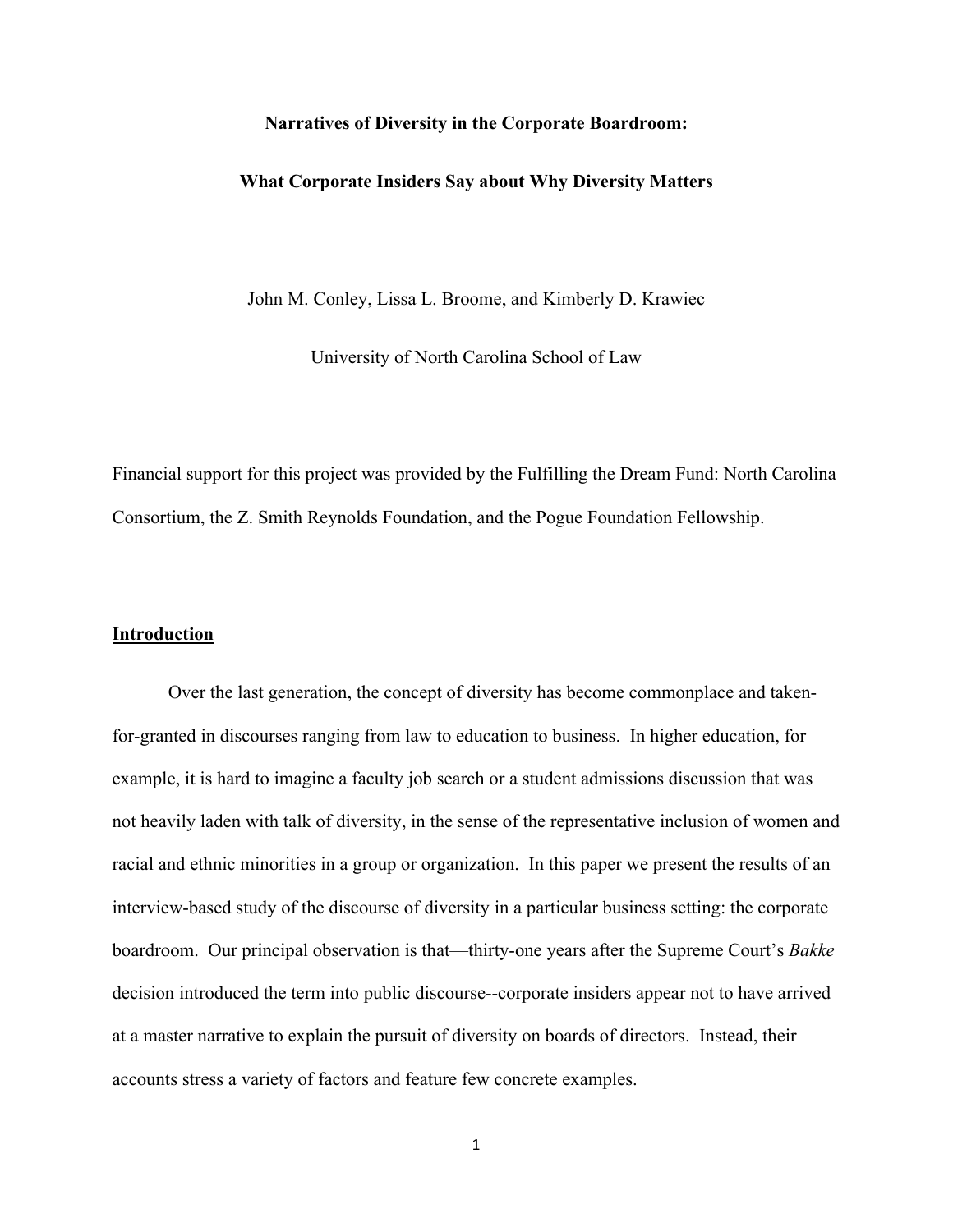#### **Narratives of Diversity in the Corporate Boardroom:**

#### **What Corporate Insiders Say about Why Diversity Matters**

John M. Conley, Lissa L. Broome, and Kimberly D. Krawiec

University of North Carolina School of Law

Financial support for this project was provided by the Fulfilling the Dream Fund: North Carolina Consortium, the Z. Smith Reynolds Foundation, and the Pogue Foundation Fellowship.

## **Introduction**

Over the last generation, the concept of diversity has become commonplace and takenfor-granted in discourses ranging from law to education to business. In higher education, for example, it is hard to imagine a faculty job search or a student admissions discussion that was not heavily laden with talk of diversity, in the sense of the representative inclusion of women and racial and ethnic minorities in a group or organization. In this paper we present the results of an interview-based study of the discourse of diversity in a particular business setting: the corporate boardroom. Our principal observation is that—thirty-one years after the Supreme Court's *Bakke*  decision introduced the term into public discourse--corporate insiders appear not to have arrived at a master narrative to explain the pursuit of diversity on boards of directors. Instead, their accounts stress a variety of factors and feature few concrete examples.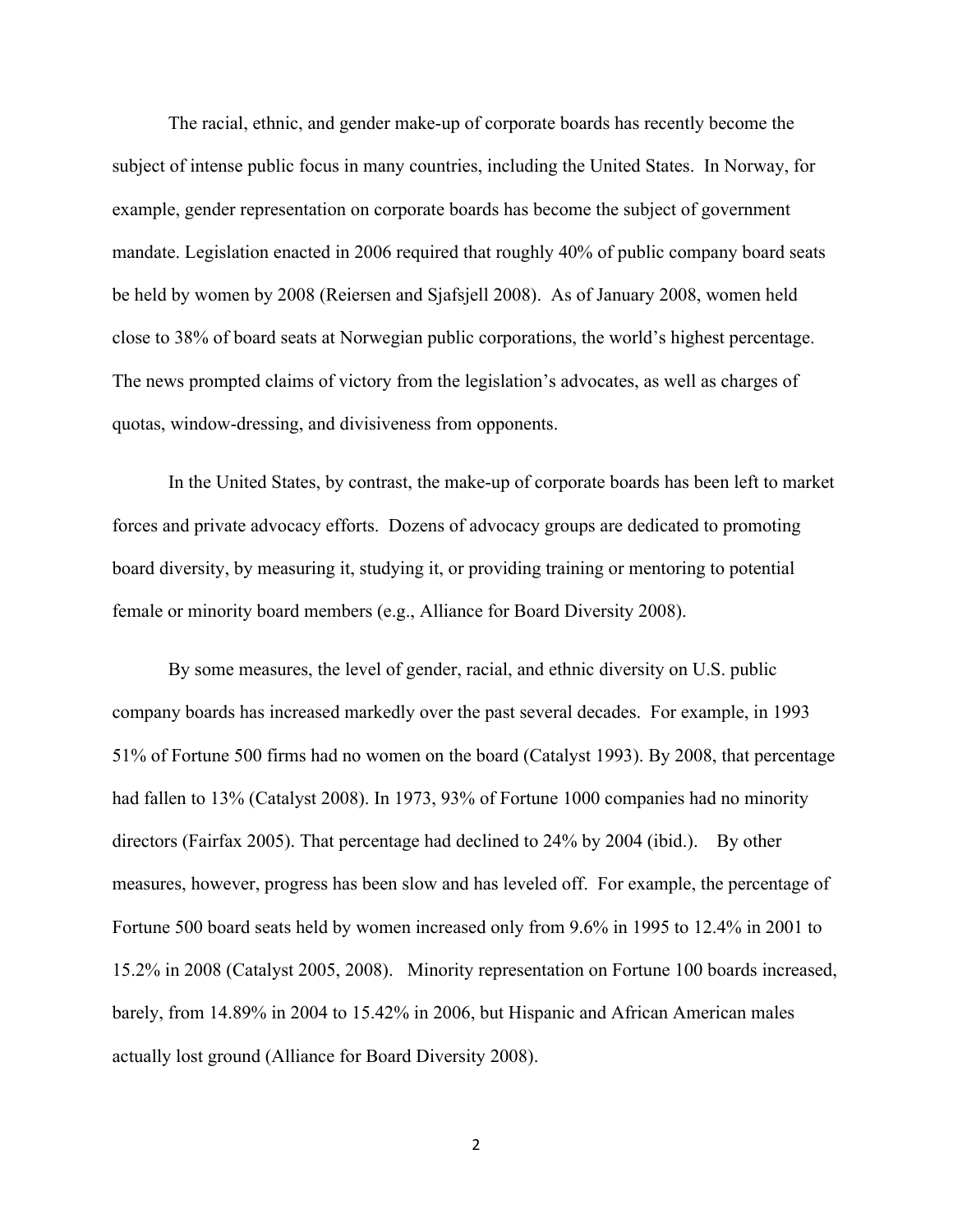The racial, ethnic, and gender make-up of corporate boards has recently become the subject of intense public focus in many countries, including the United States. In Norway, for example, gender representation on corporate boards has become the subject of government mandate. Legislation enacted in 2006 required that roughly 40% of public company board seats be held by women by 2008 (Reiersen and Sjafsjell 2008). As of January 2008, women held close to 38% of board seats at Norwegian public corporations, the world's highest percentage. The news prompted claims of victory from the legislation's advocates, as well as charges of quotas, window-dressing, and divisiveness from opponents.

In the United States, by contrast, the make-up of corporate boards has been left to market forces and private advocacy efforts. Dozens of advocacy groups are dedicated to promoting board diversity, by measuring it, studying it, or providing training or mentoring to potential female or minority board members (e.g., Alliance for Board Diversity 2008).

By some measures, the level of gender, racial, and ethnic diversity on U.S. public company boards has increased markedly over the past several decades. For example, in 1993 51% of Fortune 500 firms had no women on the board (Catalyst 1993). By 2008, that percentage had fallen to 13% (Catalyst 2008). In 1973, 93% of Fortune 1000 companies had no minority directors (Fairfax 2005). That percentage had declined to 24% by 2004 (ibid.). By other measures, however, progress has been slow and has leveled off. For example, the percentage of Fortune 500 board seats held by women increased only from 9.6% in 1995 to 12.4% in 2001 to 15.2% in 2008 (Catalyst 2005, 2008). Minority representation on Fortune 100 boards increased, barely, from 14.89% in 2004 to 15.42% in 2006, but Hispanic and African American males actually lost ground (Alliance for Board Diversity 2008).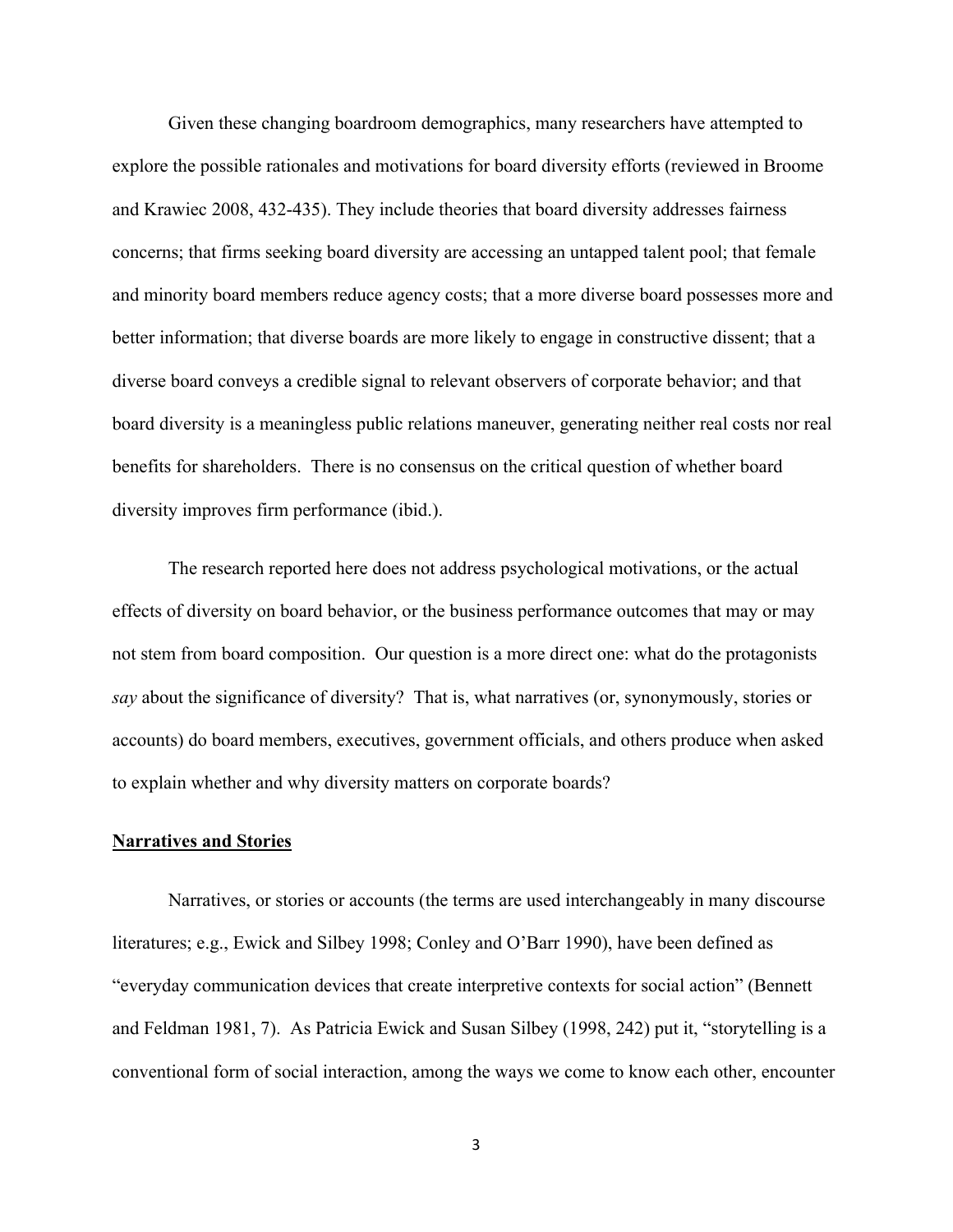Given these changing boardroom demographics, many researchers have attempted to explore the possible rationales and motivations for board diversity efforts (reviewed in Broome and Krawiec 2008, 432-435). They include theories that board diversity addresses fairness concerns; that firms seeking board diversity are accessing an untapped talent pool; that female and minority board members reduce agency costs; that a more diverse board possesses more and better information; that diverse boards are more likely to engage in constructive dissent; that a diverse board conveys a credible signal to relevant observers of corporate behavior; and that board diversity is a meaningless public relations maneuver, generating neither real costs nor real benefits for shareholders. There is no consensus on the critical question of whether board diversity improves firm performance (ibid.).

The research reported here does not address psychological motivations, or the actual effects of diversity on board behavior, or the business performance outcomes that may or may not stem from board composition. Our question is a more direct one: what do the protagonists *say* about the significance of diversity? That is, what narratives (or, synonymously, stories or accounts) do board members, executives, government officials, and others produce when asked to explain whether and why diversity matters on corporate boards?

#### **Narratives and Stories**

Narratives, or stories or accounts (the terms are used interchangeably in many discourse literatures; e.g., Ewick and Silbey 1998; Conley and O'Barr 1990), have been defined as "everyday communication devices that create interpretive contexts for social action" (Bennett and Feldman 1981, 7). As Patricia Ewick and Susan Silbey (1998, 242) put it, "storytelling is a conventional form of social interaction, among the ways we come to know each other, encounter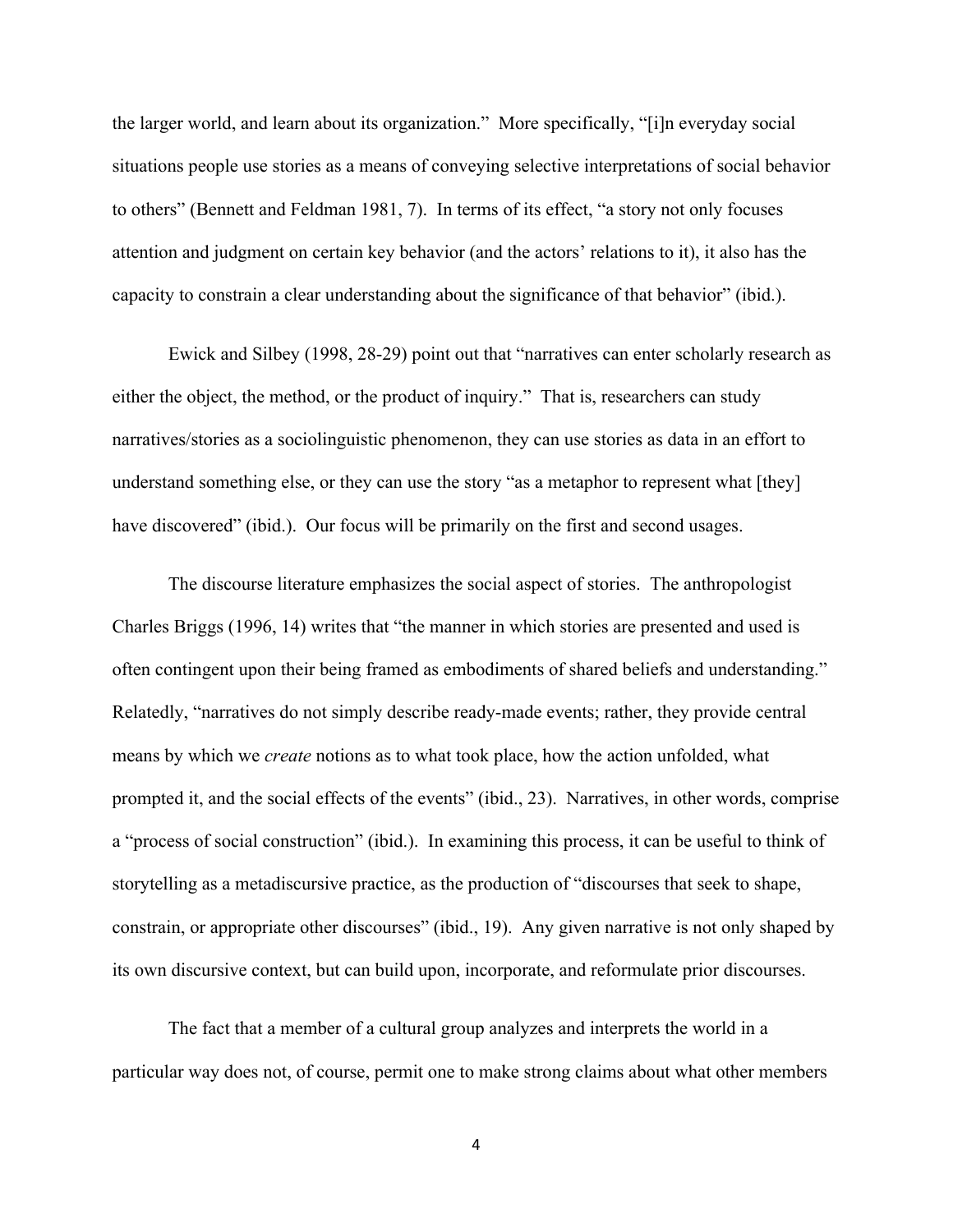the larger world, and learn about its organization." More specifically, "[i]n everyday social situations people use stories as a means of conveying selective interpretations of social behavior to others" (Bennett and Feldman 1981, 7). In terms of its effect, "a story not only focuses attention and judgment on certain key behavior (and the actors' relations to it), it also has the capacity to constrain a clear understanding about the significance of that behavior" (ibid.).

Ewick and Silbey (1998, 28-29) point out that "narratives can enter scholarly research as either the object, the method, or the product of inquiry." That is, researchers can study narratives/stories as a sociolinguistic phenomenon, they can use stories as data in an effort to understand something else, or they can use the story "as a metaphor to represent what [they] have discovered" (ibid.). Our focus will be primarily on the first and second usages.

The discourse literature emphasizes the social aspect of stories. The anthropologist Charles Briggs (1996, 14) writes that "the manner in which stories are presented and used is often contingent upon their being framed as embodiments of shared beliefs and understanding." Relatedly, "narratives do not simply describe ready-made events; rather, they provide central means by which we *create* notions as to what took place, how the action unfolded, what prompted it, and the social effects of the events" (ibid., 23). Narratives, in other words, comprise a "process of social construction" (ibid.). In examining this process, it can be useful to think of storytelling as a metadiscursive practice, as the production of "discourses that seek to shape, constrain, or appropriate other discourses" (ibid., 19). Any given narrative is not only shaped by its own discursive context, but can build upon, incorporate, and reformulate prior discourses.

The fact that a member of a cultural group analyzes and interprets the world in a particular way does not, of course, permit one to make strong claims about what other members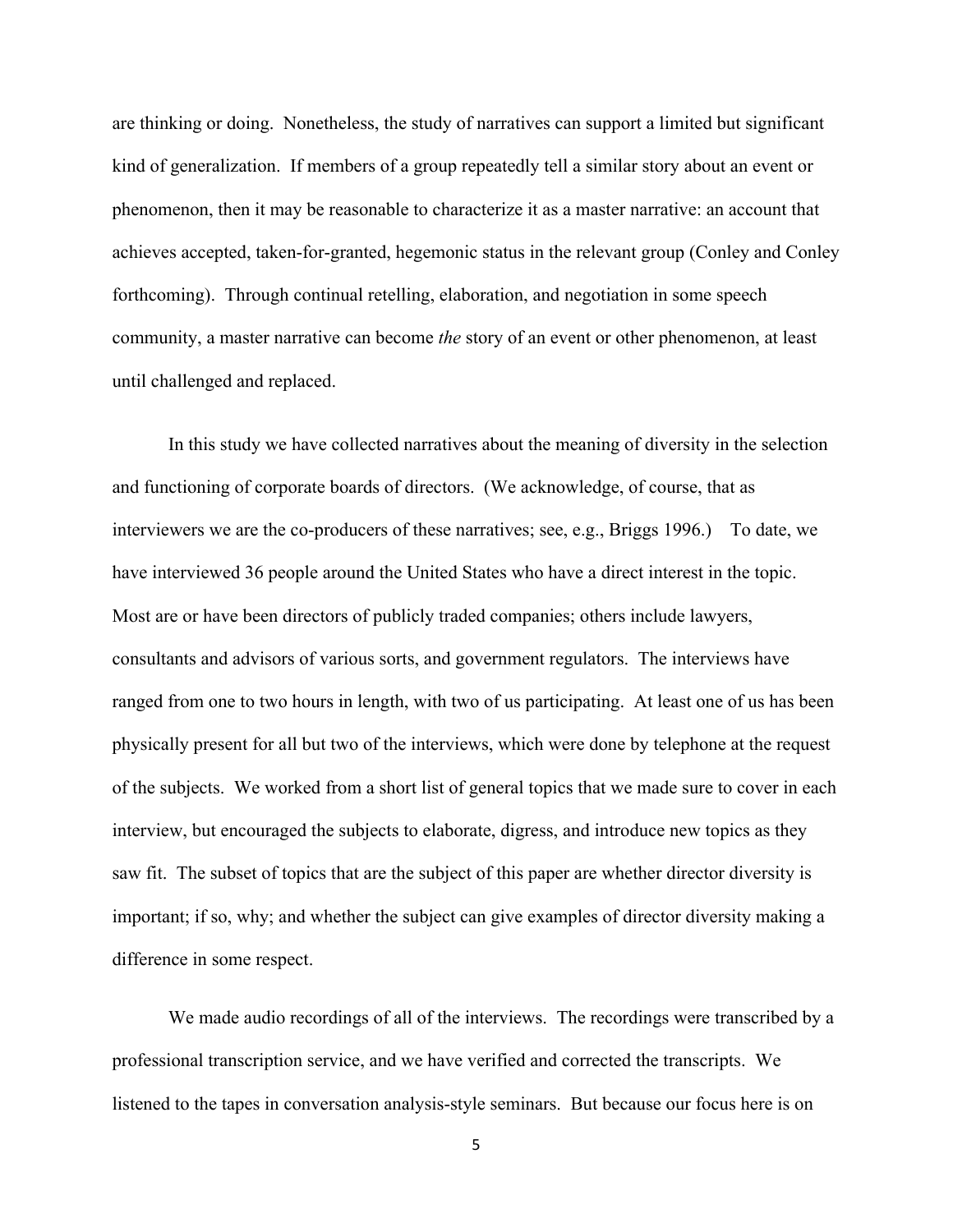are thinking or doing. Nonetheless, the study of narratives can support a limited but significant kind of generalization. If members of a group repeatedly tell a similar story about an event or phenomenon, then it may be reasonable to characterize it as a master narrative: an account that achieves accepted, taken-for-granted, hegemonic status in the relevant group (Conley and Conley forthcoming). Through continual retelling, elaboration, and negotiation in some speech community, a master narrative can become *the* story of an event or other phenomenon, at least until challenged and replaced.

In this study we have collected narratives about the meaning of diversity in the selection and functioning of corporate boards of directors. (We acknowledge, of course, that as interviewers we are the co-producers of these narratives; see, e.g., Briggs 1996.) To date, we have interviewed 36 people around the United States who have a direct interest in the topic. Most are or have been directors of publicly traded companies; others include lawyers, consultants and advisors of various sorts, and government regulators. The interviews have ranged from one to two hours in length, with two of us participating. At least one of us has been physically present for all but two of the interviews, which were done by telephone at the request of the subjects. We worked from a short list of general topics that we made sure to cover in each interview, but encouraged the subjects to elaborate, digress, and introduce new topics as they saw fit. The subset of topics that are the subject of this paper are whether director diversity is important; if so, why; and whether the subject can give examples of director diversity making a difference in some respect.

We made audio recordings of all of the interviews. The recordings were transcribed by a professional transcription service, and we have verified and corrected the transcripts. We listened to the tapes in conversation analysis-style seminars. But because our focus here is on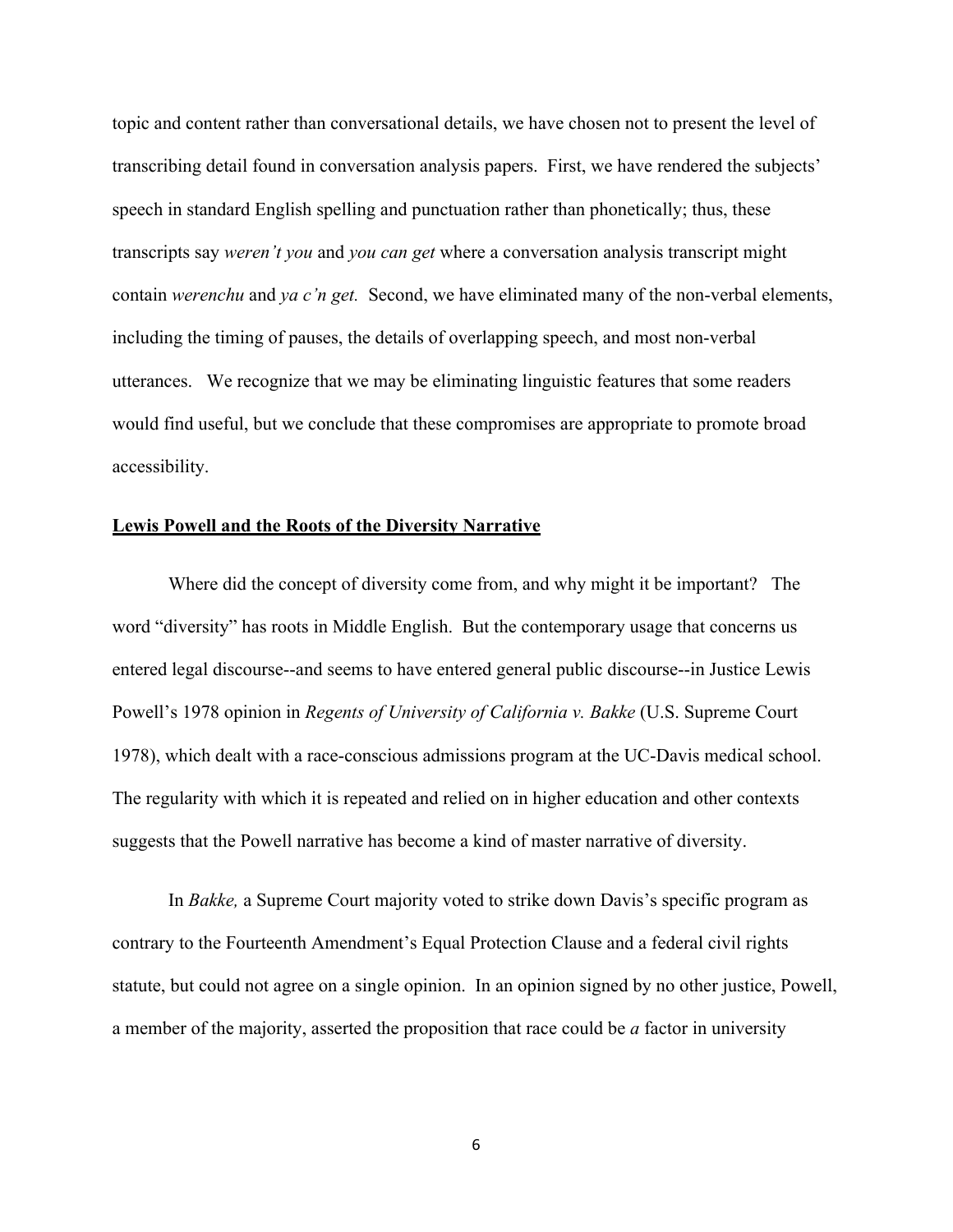topic and content rather than conversational details, we have chosen not to present the level of transcribing detail found in conversation analysis papers. First, we have rendered the subjects' speech in standard English spelling and punctuation rather than phonetically; thus, these transcripts say *weren't you* and *you can get* where a conversation analysis transcript might contain *werenchu* and *ya c'n get.* Second, we have eliminated many of the non-verbal elements, including the timing of pauses, the details of overlapping speech, and most non-verbal utterances. We recognize that we may be eliminating linguistic features that some readers would find useful, but we conclude that these compromises are appropriate to promote broad accessibility.

#### **Lewis Powell and the Roots of the Diversity Narrative**

Where did the concept of diversity come from, and why might it be important? The word "diversity" has roots in Middle English. But the contemporary usage that concerns us entered legal discourse--and seems to have entered general public discourse--in Justice Lewis Powell's 1978 opinion in *Regents of University of California v. Bakke* (U.S. Supreme Court 1978), which dealt with a race-conscious admissions program at the UC-Davis medical school. The regularity with which it is repeated and relied on in higher education and other contexts suggests that the Powell narrative has become a kind of master narrative of diversity.

In *Bakke,* a Supreme Court majority voted to strike down Davis's specific program as contrary to the Fourteenth Amendment's Equal Protection Clause and a federal civil rights statute, but could not agree on a single opinion. In an opinion signed by no other justice, Powell, a member of the majority, asserted the proposition that race could be *a* factor in university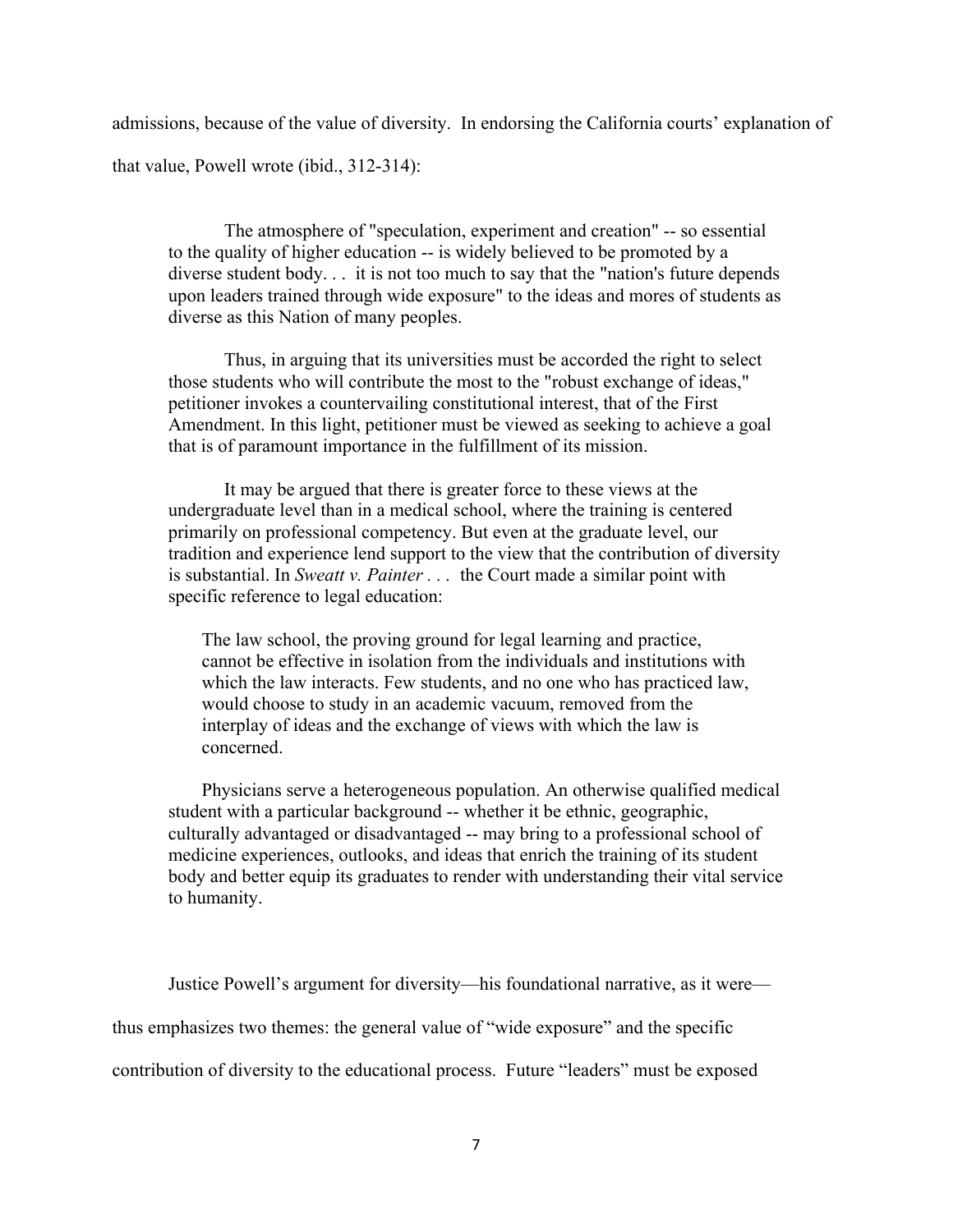admissions, because of the value of diversity. In endorsing the California courts' explanation of that value, Powell wrote (ibid., 312-314):

The atmosphere of "speculation, experiment and creation" -- so essential to the quality of higher education -- is widely believed to be promoted by a diverse student body. . . it is not too much to say that the "nation's future depends upon leaders trained through wide exposure" to the ideas and mores of students as diverse as this Nation of many peoples.

Thus, in arguing that its universities must be accorded the right to select those students who will contribute the most to the "robust exchange of ideas," petitioner invokes a countervailing constitutional interest, that of the First Amendment. In this light, petitioner must be viewed as seeking to achieve a goal that is of paramount importance in the fulfillment of its mission.

It may be argued that there is greater force to these views at the undergraduate level than in a medical school, where the training is centered primarily on professional competency. But even at the graduate level, our tradition and experience lend support to the view that the contribution of diversity is substantial. In *Sweatt v. Painter . . .* the Court made a similar point with specific reference to legal education:

The law school, the proving ground for legal learning and practice, cannot be effective in isolation from the individuals and institutions with which the law interacts. Few students, and no one who has practiced law, would choose to study in an academic vacuum, removed from the interplay of ideas and the exchange of views with which the law is concerned.

Physicians serve a heterogeneous population. An otherwise qualified medical student with a particular background -- whether it be ethnic, geographic, culturally advantaged or disadvantaged -- may bring to a professional school of medicine experiences, outlooks, and ideas that enrich the training of its student body and better equip its graduates to render with understanding their vital service to humanity.

Justice Powell's argument for diversity—his foundational narrative, as it were thus emphasizes two themes: the general value of "wide exposure" and the specific contribution of diversity to the educational process. Future "leaders" must be exposed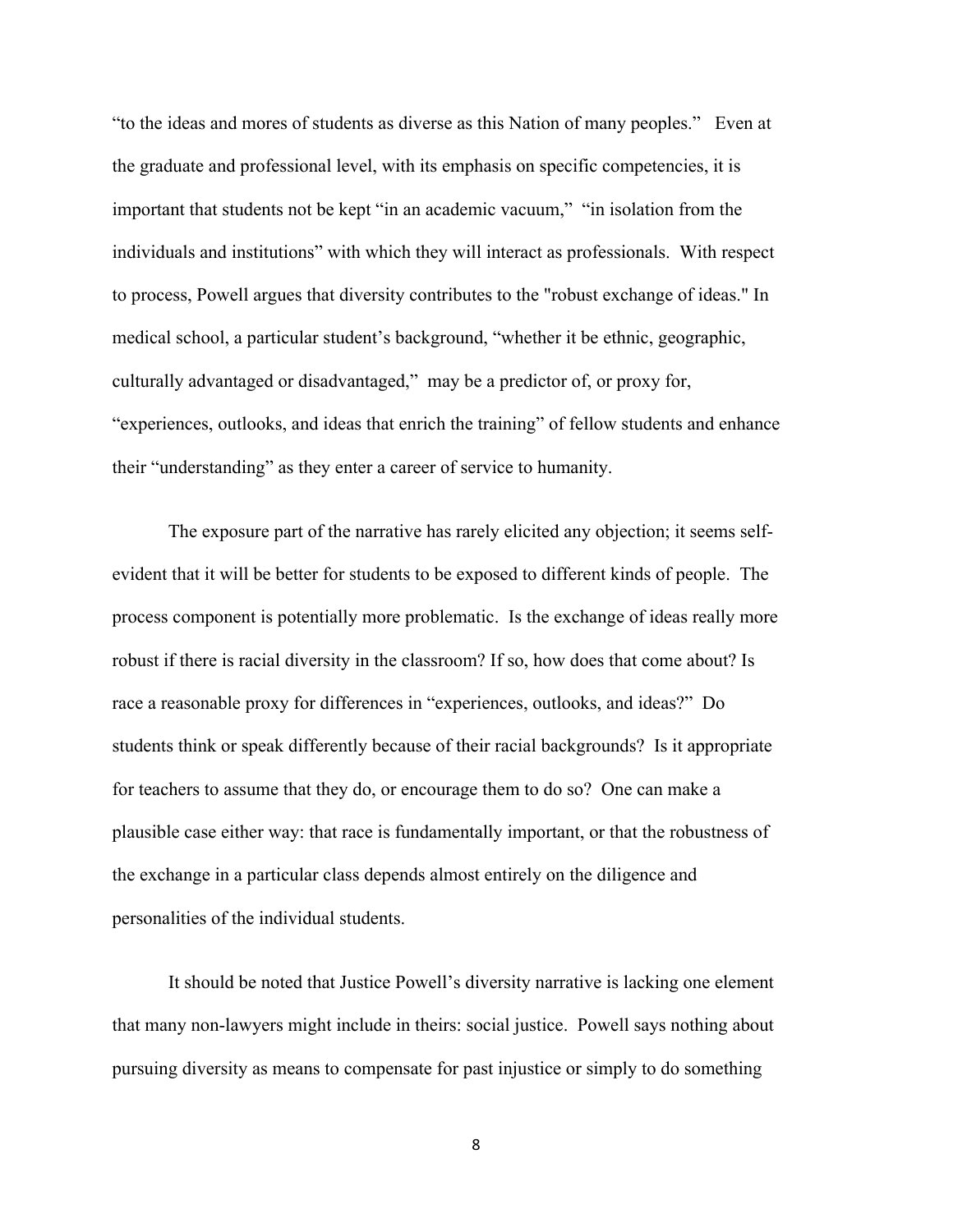"to the ideas and mores of students as diverse as this Nation of many peoples." Even at the graduate and professional level, with its emphasis on specific competencies, it is important that students not be kept "in an academic vacuum," "in isolation from the individuals and institutions" with which they will interact as professionals. With respect to process, Powell argues that diversity contributes to the "robust exchange of ideas." In medical school, a particular student's background, "whether it be ethnic, geographic, culturally advantaged or disadvantaged," may be a predictor of, or proxy for, "experiences, outlooks, and ideas that enrich the training" of fellow students and enhance their "understanding" as they enter a career of service to humanity.

The exposure part of the narrative has rarely elicited any objection; it seems selfevident that it will be better for students to be exposed to different kinds of people. The process component is potentially more problematic. Is the exchange of ideas really more robust if there is racial diversity in the classroom? If so, how does that come about? Is race a reasonable proxy for differences in "experiences, outlooks, and ideas?" Do students think or speak differently because of their racial backgrounds? Is it appropriate for teachers to assume that they do, or encourage them to do so? One can make a plausible case either way: that race is fundamentally important, or that the robustness of the exchange in a particular class depends almost entirely on the diligence and personalities of the individual students.

It should be noted that Justice Powell's diversity narrative is lacking one element that many non-lawyers might include in theirs: social justice. Powell says nothing about pursuing diversity as means to compensate for past injustice or simply to do something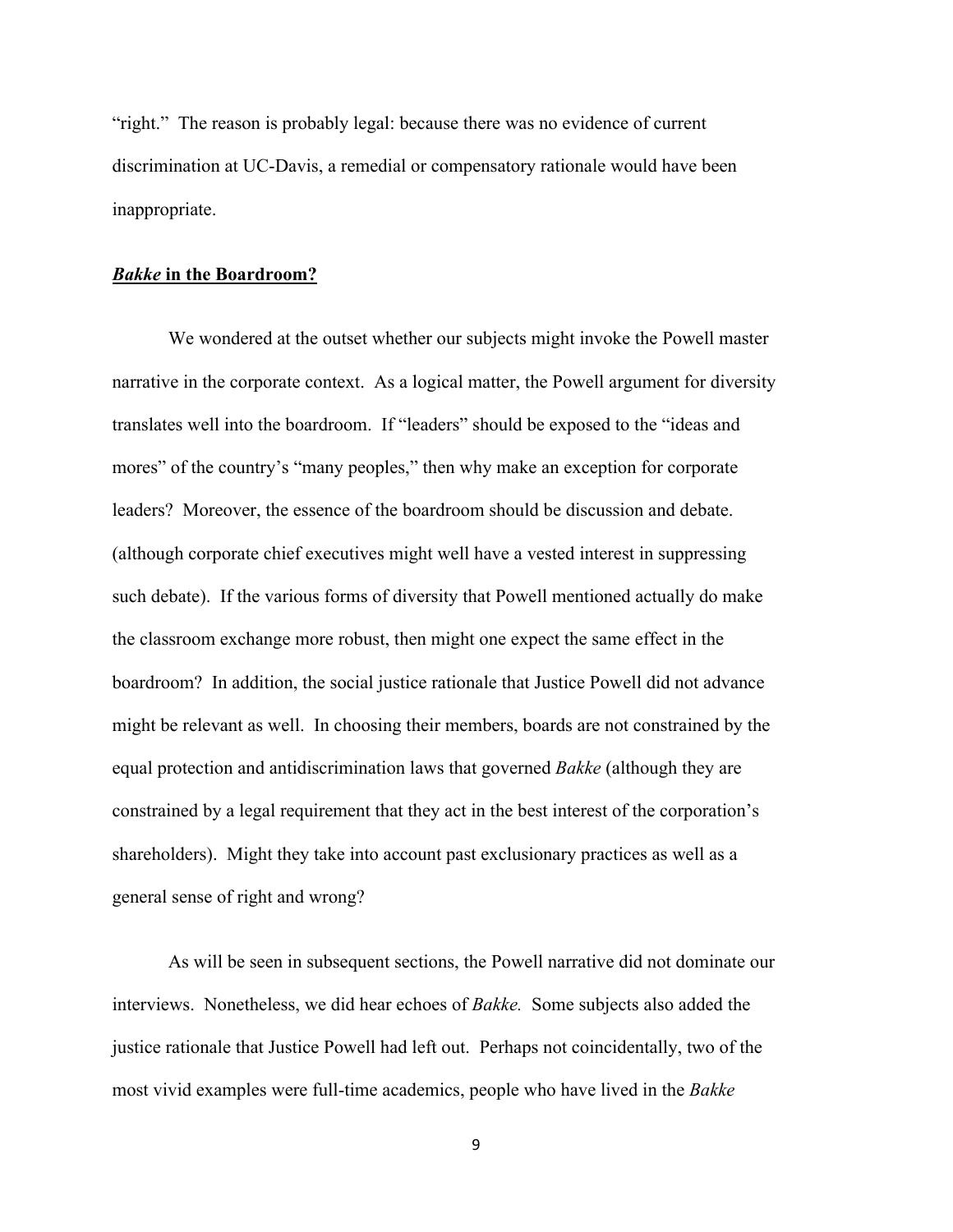"right." The reason is probably legal: because there was no evidence of current discrimination at UC-Davis, a remedial or compensatory rationale would have been inappropriate.

#### *Bakke* **in the Boardroom?**

We wondered at the outset whether our subjects might invoke the Powell master narrative in the corporate context. As a logical matter, the Powell argument for diversity translates well into the boardroom. If "leaders" should be exposed to the "ideas and mores" of the country's "many peoples," then why make an exception for corporate leaders? Moreover, the essence of the boardroom should be discussion and debate. (although corporate chief executives might well have a vested interest in suppressing such debate). If the various forms of diversity that Powell mentioned actually do make the classroom exchange more robust, then might one expect the same effect in the boardroom? In addition, the social justice rationale that Justice Powell did not advance might be relevant as well. In choosing their members, boards are not constrained by the equal protection and antidiscrimination laws that governed *Bakke* (although they are constrained by a legal requirement that they act in the best interest of the corporation's shareholders). Might they take into account past exclusionary practices as well as a general sense of right and wrong?

As will be seen in subsequent sections, the Powell narrative did not dominate our interviews. Nonetheless, we did hear echoes of *Bakke.* Some subjects also added the justice rationale that Justice Powell had left out. Perhaps not coincidentally, two of the most vivid examples were full-time academics, people who have lived in the *Bakke*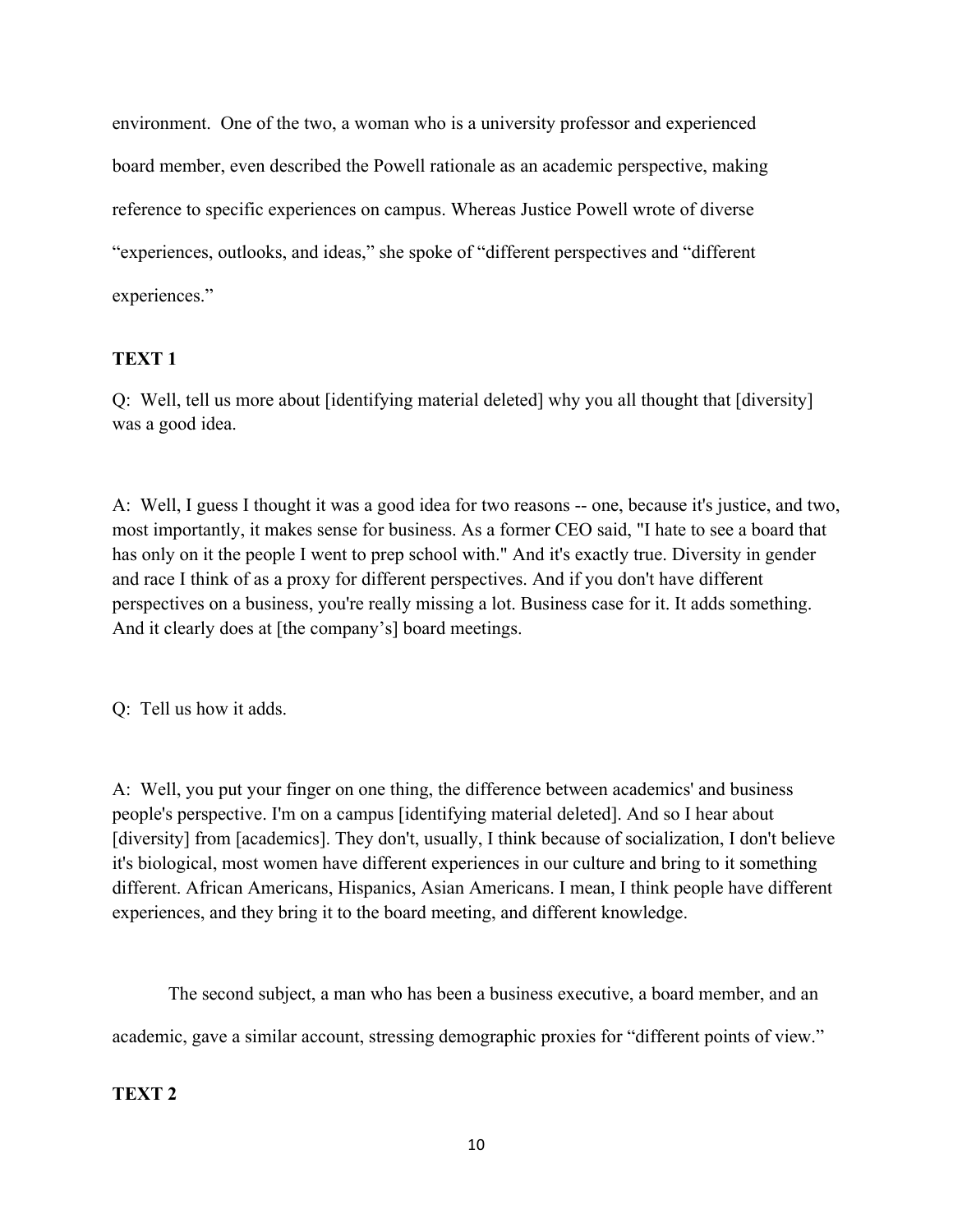environment. One of the two, a woman who is a university professor and experienced board member, even described the Powell rationale as an academic perspective, making reference to specific experiences on campus. Whereas Justice Powell wrote of diverse "experiences, outlooks, and ideas," she spoke of "different perspectives and "different experiences."

# **TEXT 1**

Q: Well, tell us more about [identifying material deleted] why you all thought that [diversity] was a good idea.

A: Well, I guess I thought it was a good idea for two reasons -- one, because it's justice, and two, most importantly, it makes sense for business. As a former CEO said, "I hate to see a board that has only on it the people I went to prep school with." And it's exactly true. Diversity in gender and race I think of as a proxy for different perspectives. And if you don't have different perspectives on a business, you're really missing a lot. Business case for it. It adds something. And it clearly does at [the company's] board meetings.

Q: Tell us how it adds.

A: Well, you put your finger on one thing, the difference between academics' and business people's perspective. I'm on a campus [identifying material deleted]. And so I hear about [diversity] from [academics]. They don't, usually, I think because of socialization, I don't believe it's biological, most women have different experiences in our culture and bring to it something different. African Americans, Hispanics, Asian Americans. I mean, I think people have different experiences, and they bring it to the board meeting, and different knowledge.

The second subject, a man who has been a business executive, a board member, and an academic, gave a similar account, stressing demographic proxies for "different points of view."

## **TEXT 2**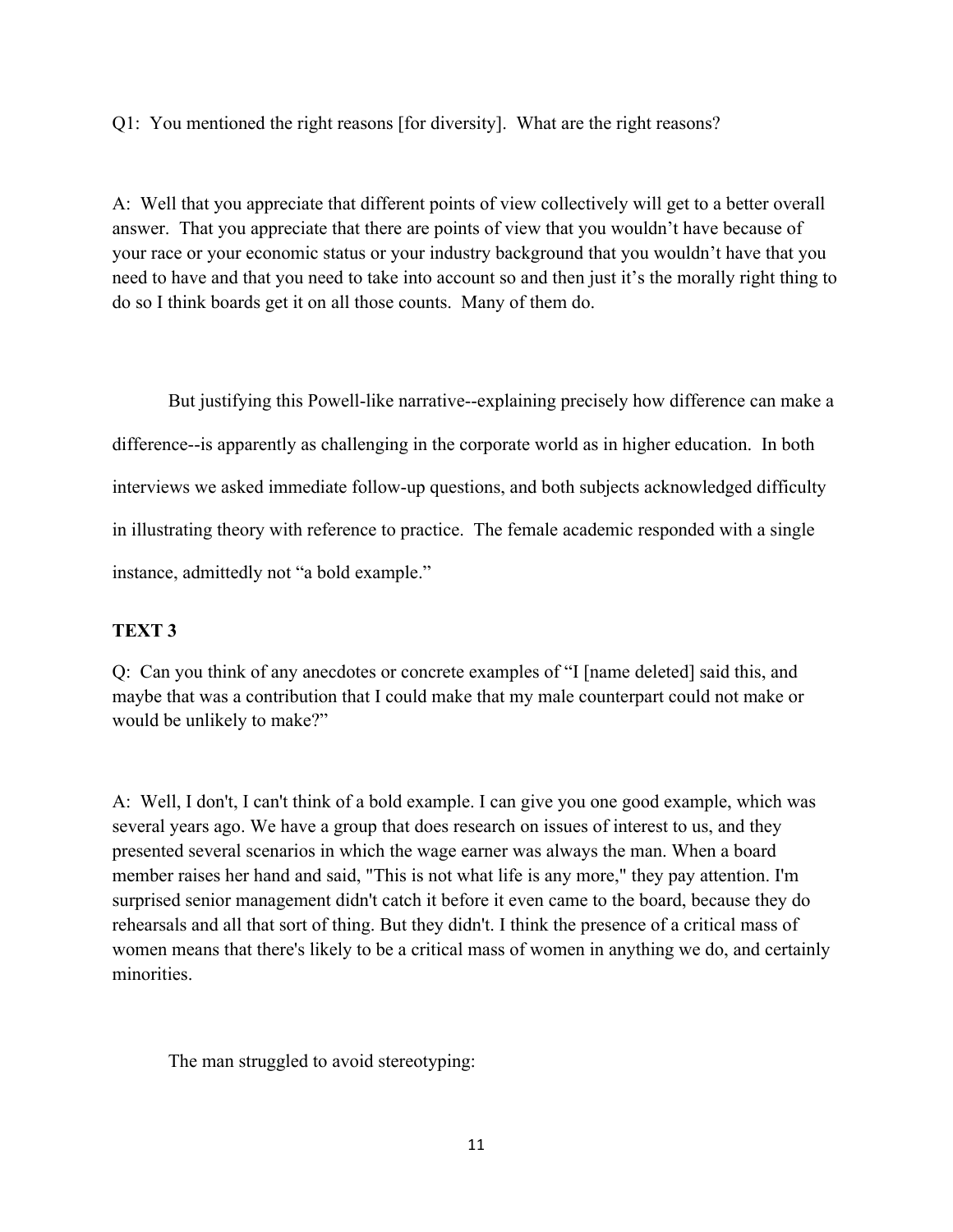Q1: You mentioned the right reasons [for diversity]. What are the right reasons?

A: Well that you appreciate that different points of view collectively will get to a better overall answer. That you appreciate that there are points of view that you wouldn't have because of your race or your economic status or your industry background that you wouldn't have that you need to have and that you need to take into account so and then just it's the morally right thing to do so I think boards get it on all those counts. Many of them do.

But justifying this Powell-like narrative--explaining precisely how difference can make a difference--is apparently as challenging in the corporate world as in higher education. In both interviews we asked immediate follow-up questions, and both subjects acknowledged difficulty in illustrating theory with reference to practice. The female academic responded with a single instance, admittedly not "a bold example."

## **TEXT 3**

Q: Can you think of any anecdotes or concrete examples of "I [name deleted] said this, and maybe that was a contribution that I could make that my male counterpart could not make or would be unlikely to make?"

A: Well, I don't, I can't think of a bold example. I can give you one good example, which was several years ago. We have a group that does research on issues of interest to us, and they presented several scenarios in which the wage earner was always the man. When a board member raises her hand and said, "This is not what life is any more," they pay attention. I'm surprised senior management didn't catch it before it even came to the board, because they do rehearsals and all that sort of thing. But they didn't. I think the presence of a critical mass of women means that there's likely to be a critical mass of women in anything we do, and certainly minorities.

The man struggled to avoid stereotyping: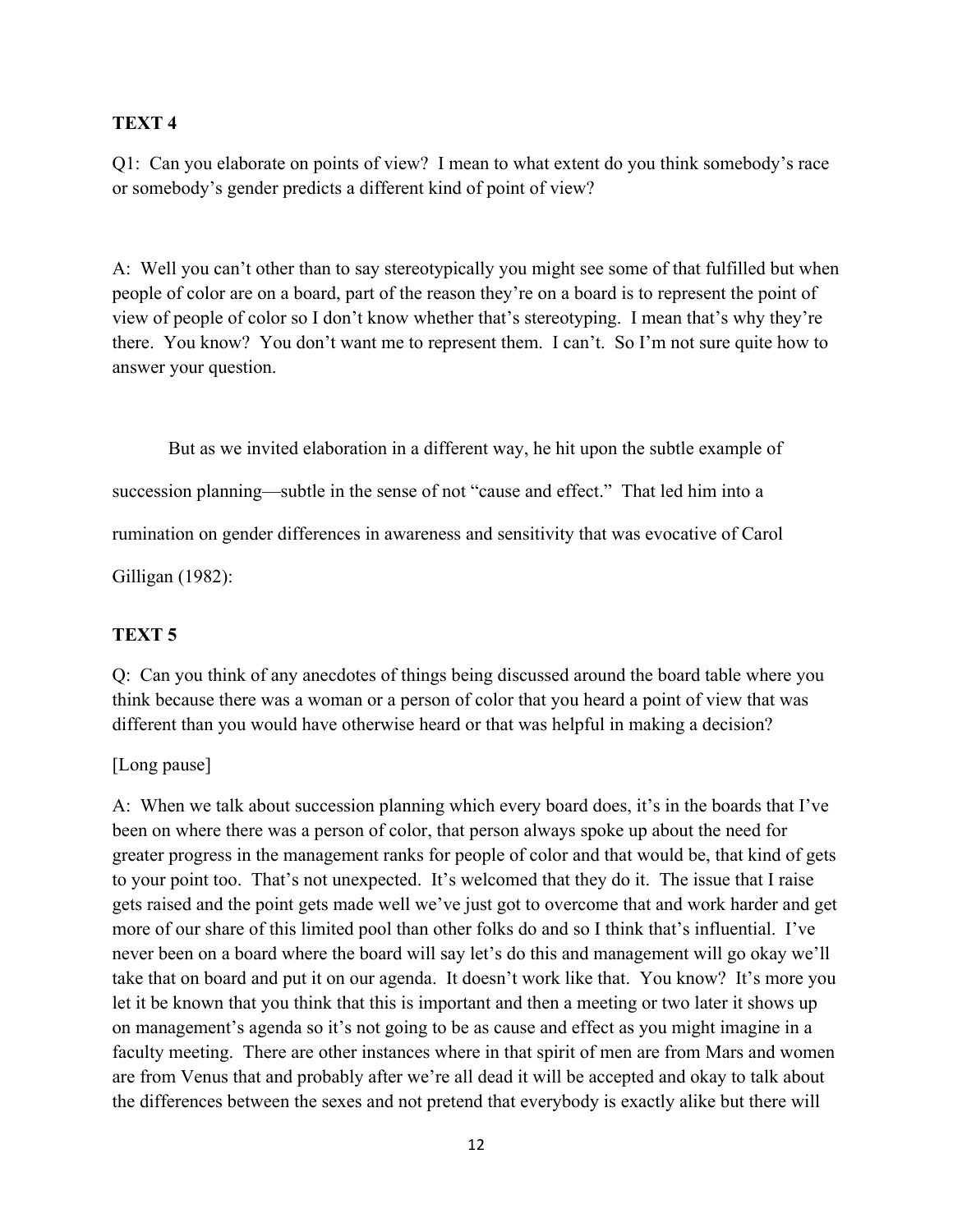## **TEXT 4**

Q1: Can you elaborate on points of view? I mean to what extent do you think somebody's race or somebody's gender predicts a different kind of point of view?

A: Well you can't other than to say stereotypically you might see some of that fulfilled but when people of color are on a board, part of the reason they're on a board is to represent the point of view of people of color so I don't know whether that's stereotyping. I mean that's why they're there. You know? You don't want me to represent them. I can't. So I'm not sure quite how to answer your question.

But as we invited elaboration in a different way, he hit upon the subtle example of succession planning—subtle in the sense of not "cause and effect." That led him into a rumination on gender differences in awareness and sensitivity that was evocative of Carol Gilligan (1982):

## **TEXT 5**

Q: Can you think of any anecdotes of things being discussed around the board table where you think because there was a woman or a person of color that you heard a point of view that was different than you would have otherwise heard or that was helpful in making a decision?

## [Long pause]

A: When we talk about succession planning which every board does, it's in the boards that I've been on where there was a person of color, that person always spoke up about the need for greater progress in the management ranks for people of color and that would be, that kind of gets to your point too. That's not unexpected. It's welcomed that they do it. The issue that I raise gets raised and the point gets made well we've just got to overcome that and work harder and get more of our share of this limited pool than other folks do and so I think that's influential. I've never been on a board where the board will say let's do this and management will go okay we'll take that on board and put it on our agenda. It doesn't work like that. You know? It's more you let it be known that you think that this is important and then a meeting or two later it shows up on management's agenda so it's not going to be as cause and effect as you might imagine in a faculty meeting. There are other instances where in that spirit of men are from Mars and women are from Venus that and probably after we're all dead it will be accepted and okay to talk about the differences between the sexes and not pretend that everybody is exactly alike but there will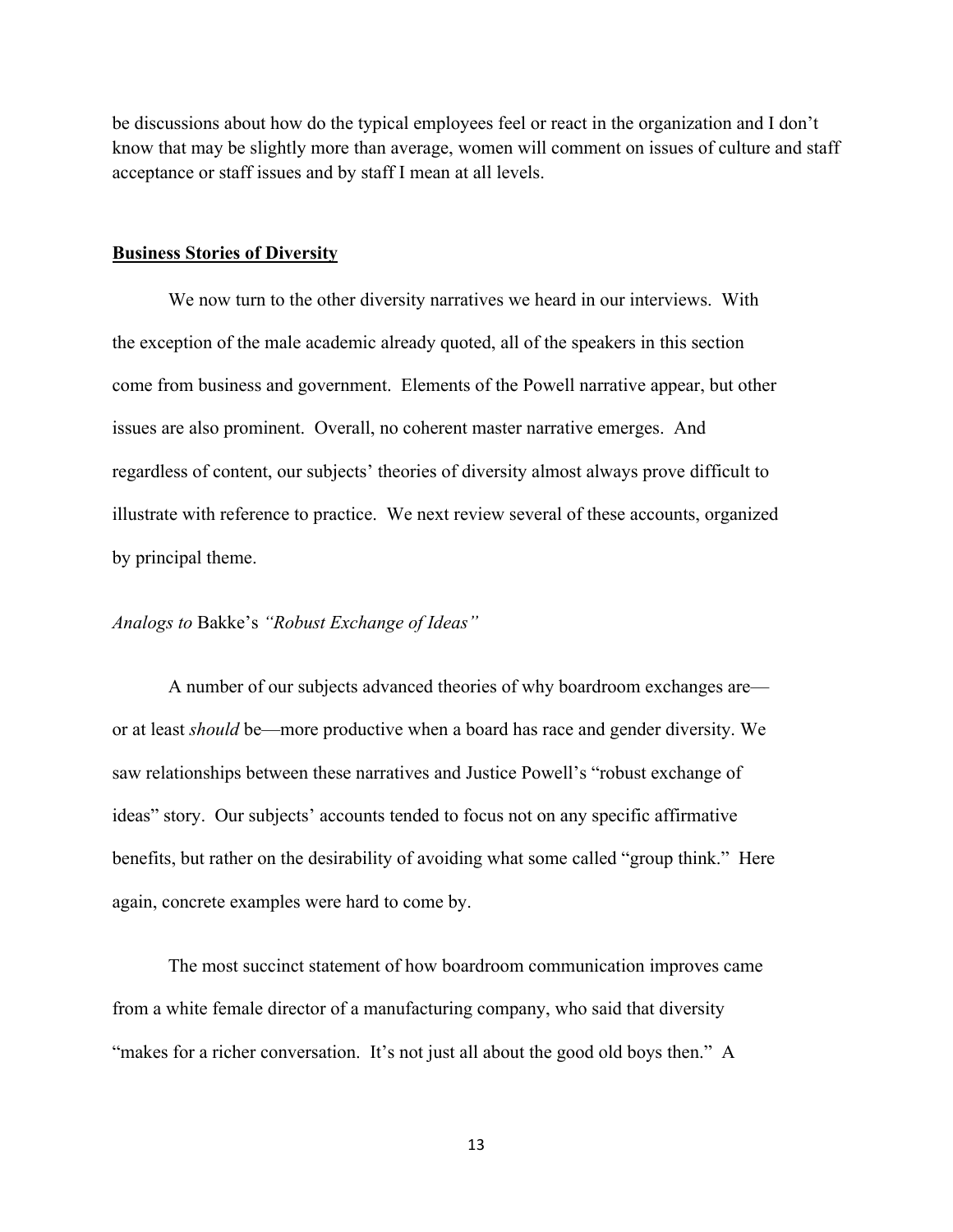be discussions about how do the typical employees feel or react in the organization and I don't know that may be slightly more than average, women will comment on issues of culture and staff acceptance or staff issues and by staff I mean at all levels.

#### **Business Stories of Diversity**

We now turn to the other diversity narratives we heard in our interviews. With the exception of the male academic already quoted, all of the speakers in this section come from business and government. Elements of the Powell narrative appear, but other issues are also prominent. Overall, no coherent master narrative emerges. And regardless of content, our subjects' theories of diversity almost always prove difficult to illustrate with reference to practice. We next review several of these accounts, organized by principal theme.

### *Analogs to* Bakke's *"Robust Exchange of Ideas"*

A number of our subjects advanced theories of why boardroom exchanges are or at least *should* be—more productive when a board has race and gender diversity. We saw relationships between these narratives and Justice Powell's "robust exchange of ideas" story. Our subjects' accounts tended to focus not on any specific affirmative benefits, but rather on the desirability of avoiding what some called "group think." Here again, concrete examples were hard to come by.

The most succinct statement of how boardroom communication improves came from a white female director of a manufacturing company, who said that diversity "makes for a richer conversation. It's not just all about the good old boys then." A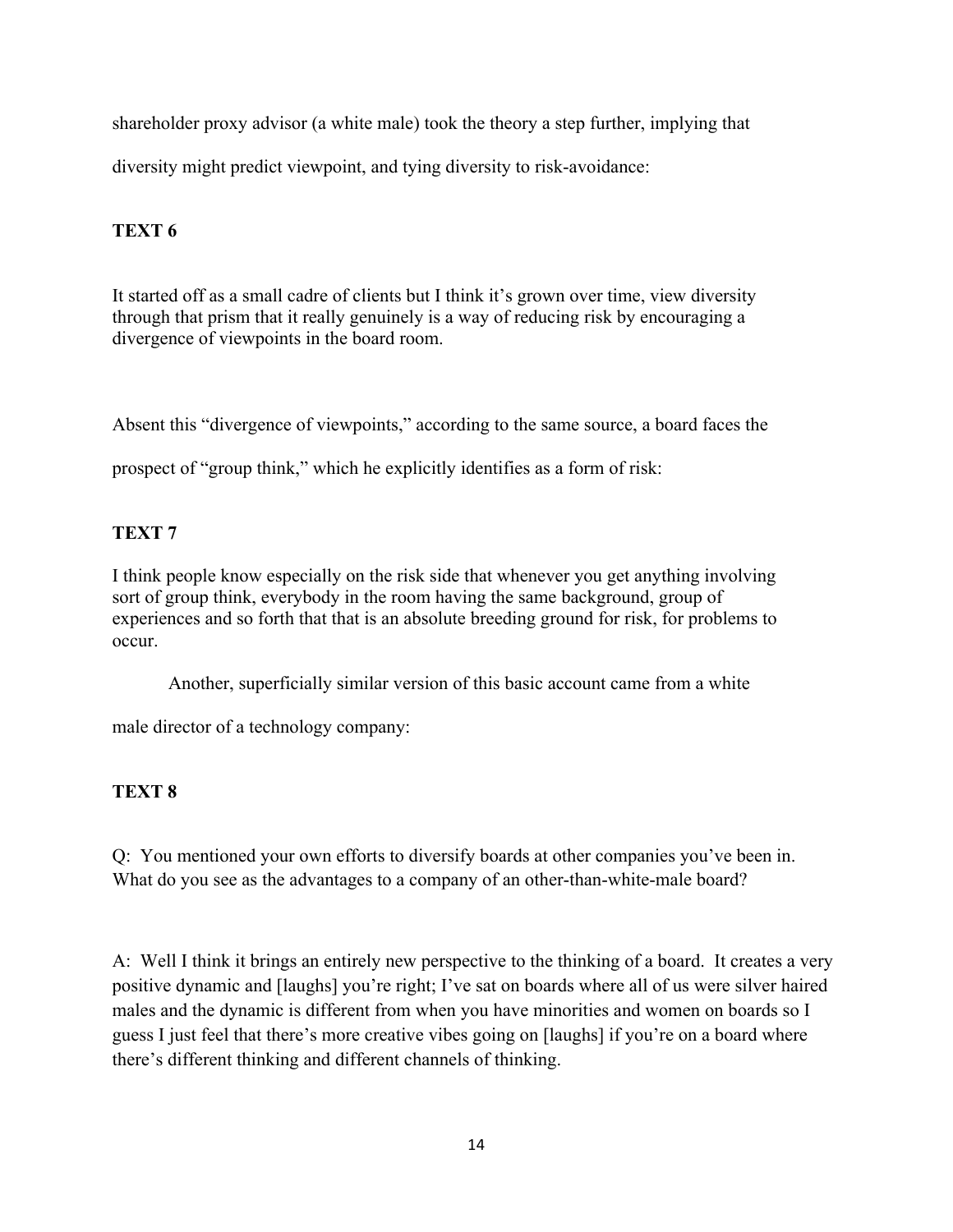shareholder proxy advisor (a white male) took the theory a step further, implying that

diversity might predict viewpoint, and tying diversity to risk-avoidance:

# **TEXT 6**

It started off as a small cadre of clients but I think it's grown over time, view diversity through that prism that it really genuinely is a way of reducing risk by encouraging a divergence of viewpoints in the board room.

Absent this "divergence of viewpoints," according to the same source, a board faces the

prospect of "group think," which he explicitly identifies as a form of risk:

# **TEXT 7**

I think people know especially on the risk side that whenever you get anything involving sort of group think, everybody in the room having the same background, group of experiences and so forth that that is an absolute breeding ground for risk, for problems to occur.

Another, superficially similar version of this basic account came from a white

male director of a technology company:

# **TEXT 8**

Q: You mentioned your own efforts to diversify boards at other companies you've been in. What do you see as the advantages to a company of an other-than-white-male board?

A: Well I think it brings an entirely new perspective to the thinking of a board. It creates a very positive dynamic and [laughs] you're right; I've sat on boards where all of us were silver haired males and the dynamic is different from when you have minorities and women on boards so I guess I just feel that there's more creative vibes going on [laughs] if you're on a board where there's different thinking and different channels of thinking.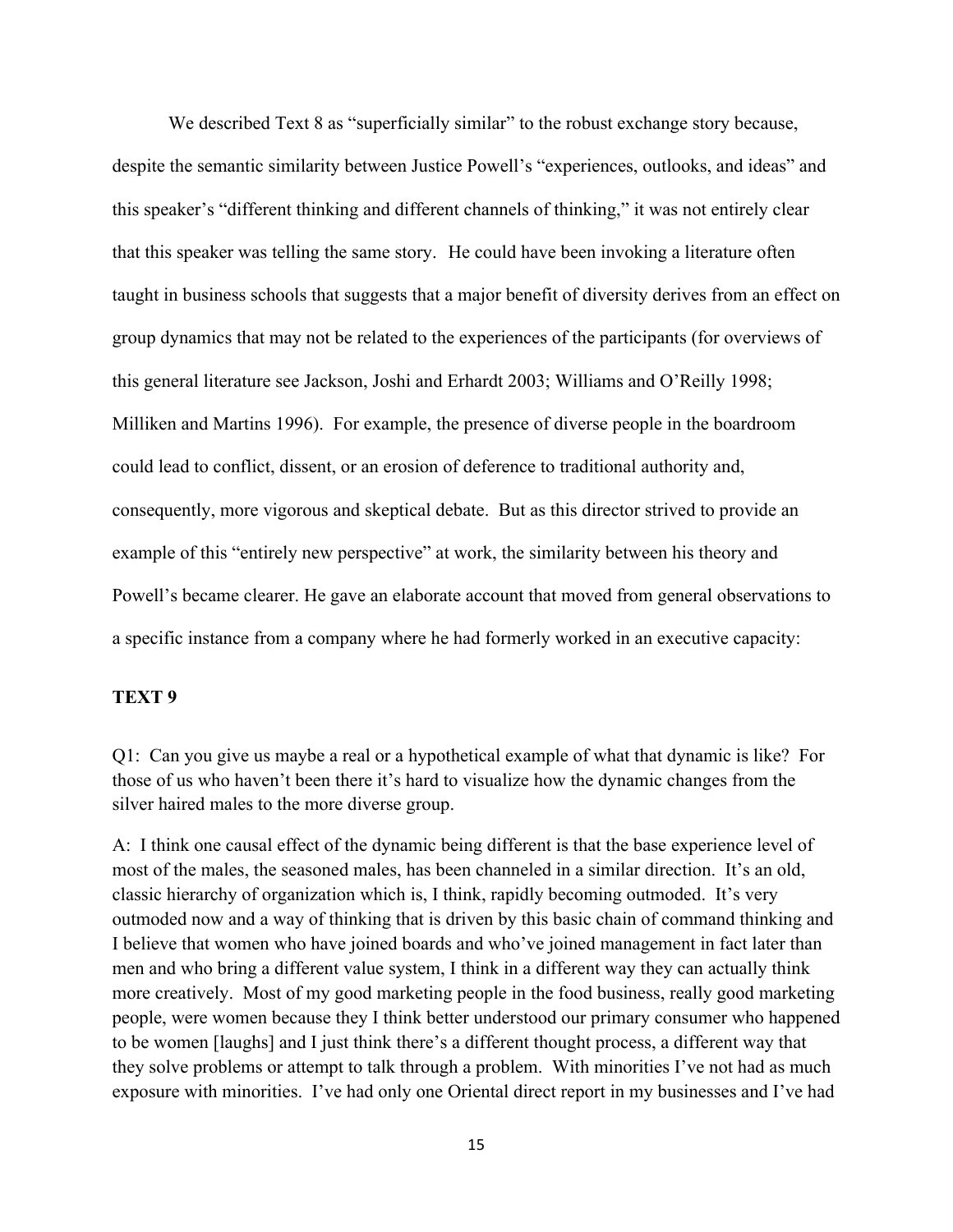We described Text 8 as "superficially similar" to the robust exchange story because, despite the semantic similarity between Justice Powell's "experiences, outlooks, and ideas" and this speaker's "different thinking and different channels of thinking," it was not entirely clear that this speaker was telling the same story. He could have been invoking a literature often taught in business schools that suggests that a major benefit of diversity derives from an effect on group dynamics that may not be related to the experiences of the participants (for overviews of this general literature see Jackson, Joshi and Erhardt 2003; Williams and O'Reilly 1998; Milliken and Martins 1996). For example, the presence of diverse people in the boardroom could lead to conflict, dissent, or an erosion of deference to traditional authority and, consequently, more vigorous and skeptical debate. But as this director strived to provide an example of this "entirely new perspective" at work, the similarity between his theory and Powell's became clearer. He gave an elaborate account that moved from general observations to a specific instance from a company where he had formerly worked in an executive capacity:

## **TEXT 9**

Q1: Can you give us maybe a real or a hypothetical example of what that dynamic is like? For those of us who haven't been there it's hard to visualize how the dynamic changes from the silver haired males to the more diverse group.

A: I think one causal effect of the dynamic being different is that the base experience level of most of the males, the seasoned males, has been channeled in a similar direction. It's an old, classic hierarchy of organization which is, I think, rapidly becoming outmoded. It's very outmoded now and a way of thinking that is driven by this basic chain of command thinking and I believe that women who have joined boards and who've joined management in fact later than men and who bring a different value system, I think in a different way they can actually think more creatively. Most of my good marketing people in the food business, really good marketing people, were women because they I think better understood our primary consumer who happened to be women [laughs] and I just think there's a different thought process, a different way that they solve problems or attempt to talk through a problem. With minorities I've not had as much exposure with minorities. I've had only one Oriental direct report in my businesses and I've had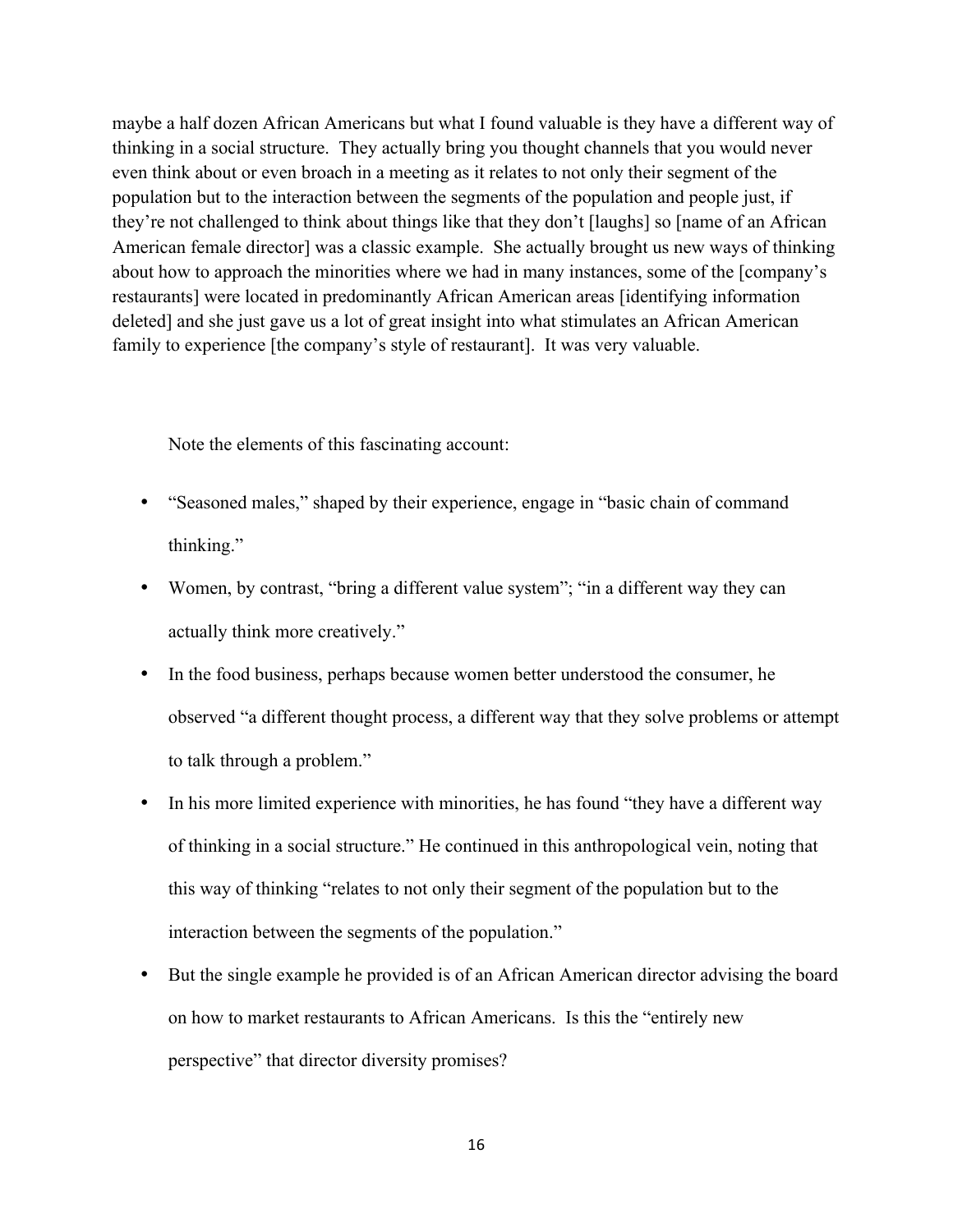maybe a half dozen African Americans but what I found valuable is they have a different way of thinking in a social structure. They actually bring you thought channels that you would never even think about or even broach in a meeting as it relates to not only their segment of the population but to the interaction between the segments of the population and people just, if they're not challenged to think about things like that they don't [laughs] so [name of an African American female director] was a classic example. She actually brought us new ways of thinking about how to approach the minorities where we had in many instances, some of the [company's restaurants] were located in predominantly African American areas [identifying information deleted] and she just gave us a lot of great insight into what stimulates an African American family to experience [the company's style of restaurant]. It was very valuable.

Note the elements of this fascinating account:

- "Seasoned males," shaped by their experience, engage in "basic chain of command thinking."
- Women, by contrast, "bring a different value system"; "in a different way they can actually think more creatively."
- In the food business, perhaps because women better understood the consumer, he observed "a different thought process, a different way that they solve problems or attempt to talk through a problem."
- In his more limited experience with minorities, he has found "they have a different way of thinking in a social structure." He continued in this anthropological vein, noting that this way of thinking "relates to not only their segment of the population but to the interaction between the segments of the population."
- But the single example he provided is of an African American director advising the board on how to market restaurants to African Americans. Is this the "entirely new perspective" that director diversity promises?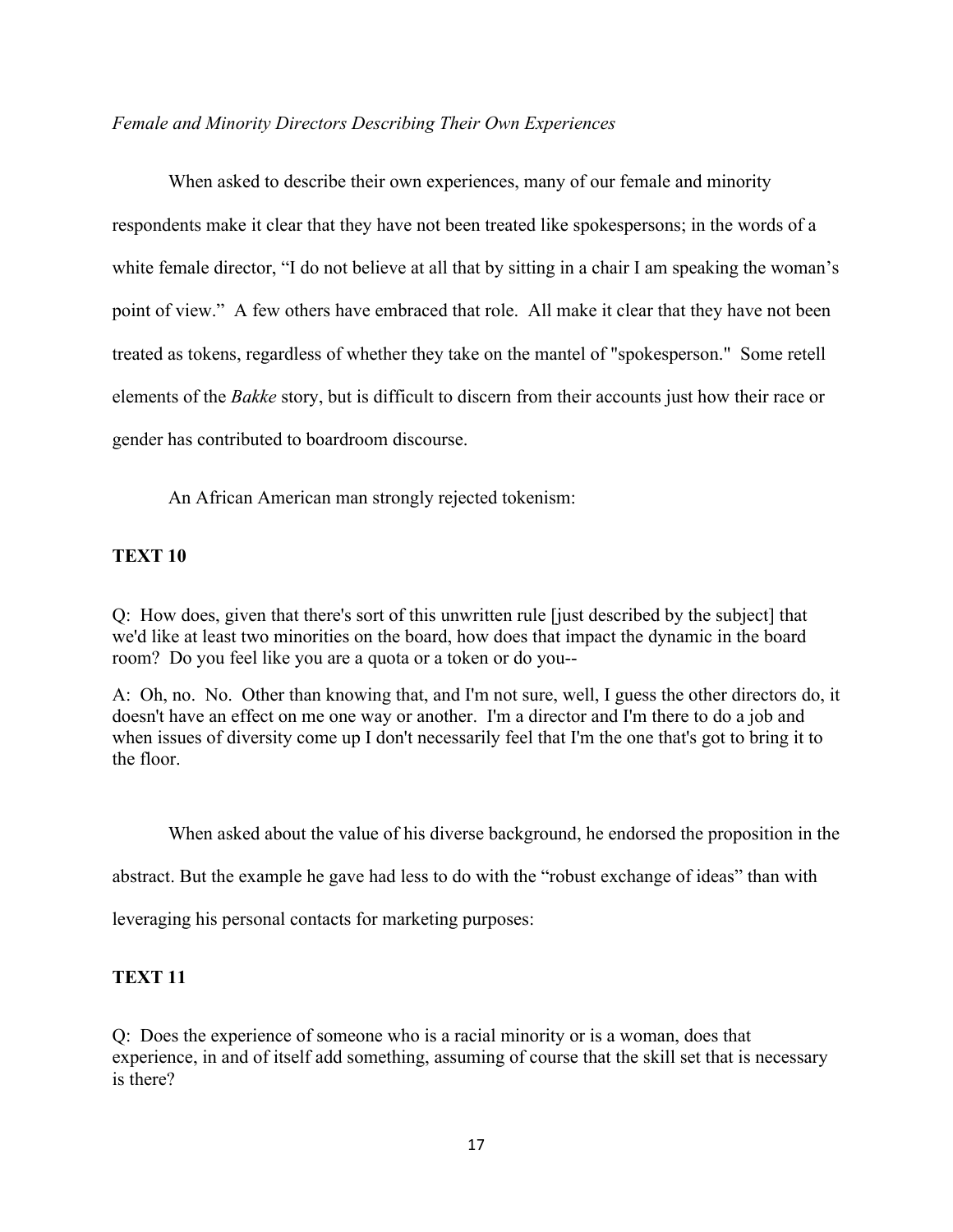### *Female and Minority Directors Describing Their Own Experiences*

When asked to describe their own experiences, many of our female and minority respondents make it clear that they have not been treated like spokespersons; in the words of a white female director, "I do not believe at all that by sitting in a chair I am speaking the woman's point of view." A few others have embraced that role. All make it clear that they have not been treated as tokens, regardless of whether they take on the mantel of "spokesperson." Some retell elements of the *Bakke* story, but is difficult to discern from their accounts just how their race or gender has contributed to boardroom discourse.

An African American man strongly rejected tokenism:

## **TEXT 10**

Q: How does, given that there's sort of this unwritten rule [just described by the subject] that we'd like at least two minorities on the board, how does that impact the dynamic in the board room? Do you feel like you are a quota or a token or do you--

A: Oh, no. No. Other than knowing that, and I'm not sure, well, I guess the other directors do, it doesn't have an effect on me one way or another. I'm a director and I'm there to do a job and when issues of diversity come up I don't necessarily feel that I'm the one that's got to bring it to the floor.

When asked about the value of his diverse background, he endorsed the proposition in the

abstract. But the example he gave had less to do with the "robust exchange of ideas" than with

leveraging his personal contacts for marketing purposes:

# **TEXT 11**

Q: Does the experience of someone who is a racial minority or is a woman, does that experience, in and of itself add something, assuming of course that the skill set that is necessary is there?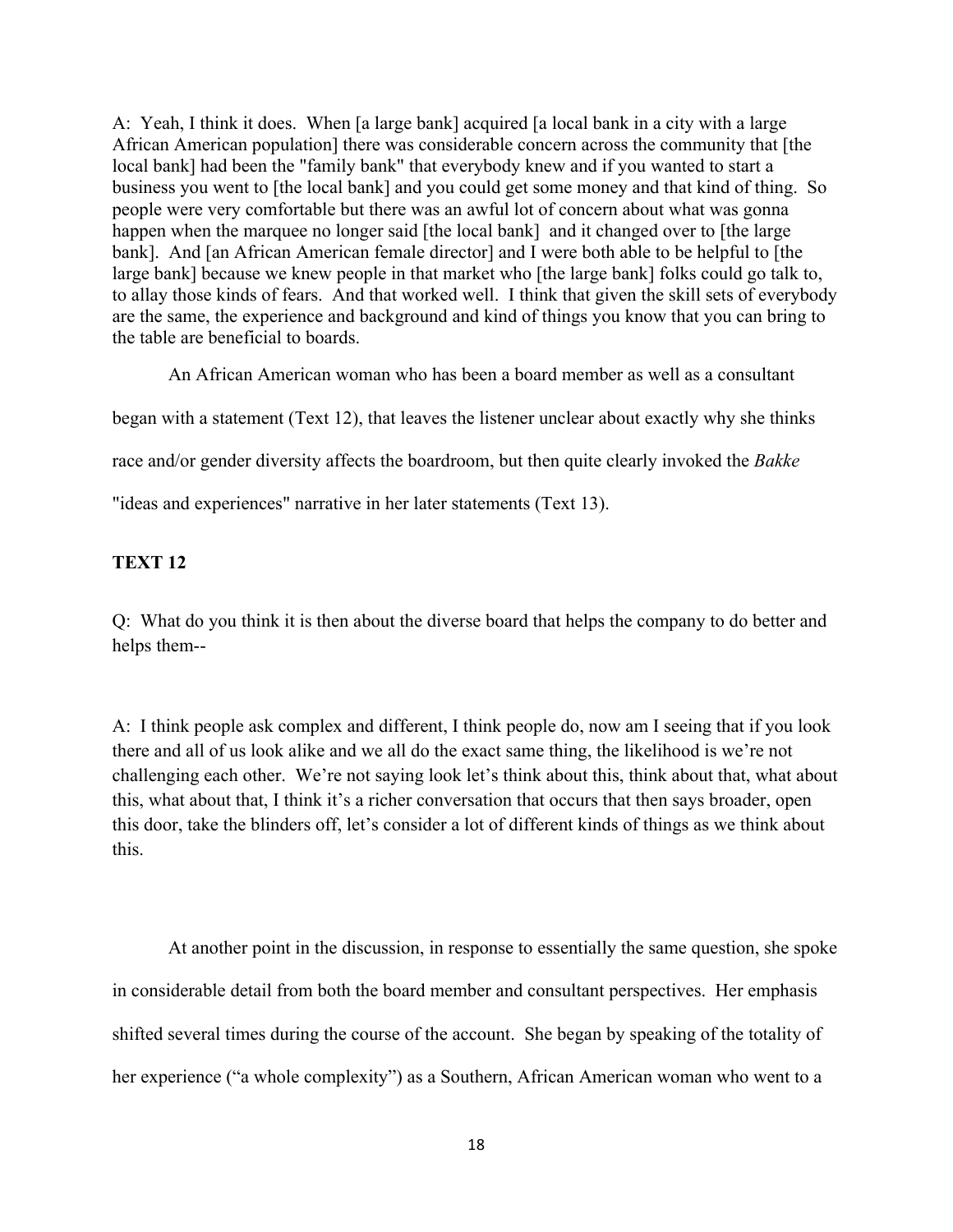A: Yeah, I think it does. When [a large bank] acquired [a local bank in a city with a large African American population] there was considerable concern across the community that [the local bank] had been the "family bank" that everybody knew and if you wanted to start a business you went to [the local bank] and you could get some money and that kind of thing. So people were very comfortable but there was an awful lot of concern about what was gonna happen when the marquee no longer said [the local bank] and it changed over to [the large bank]. And [an African American female director] and I were both able to be helpful to [the large bank] because we knew people in that market who [the large bank] folks could go talk to, to allay those kinds of fears. And that worked well. I think that given the skill sets of everybody are the same, the experience and background and kind of things you know that you can bring to the table are beneficial to boards.

An African American woman who has been a board member as well as a consultant

began with a statement (Text 12), that leaves the listener unclear about exactly why she thinks

race and/or gender diversity affects the boardroom, but then quite clearly invoked the *Bakke*

"ideas and experiences" narrative in her later statements (Text 13).

# **TEXT 12**

Q: What do you think it is then about the diverse board that helps the company to do better and helps them--

A: I think people ask complex and different, I think people do, now am I seeing that if you look there and all of us look alike and we all do the exact same thing, the likelihood is we're not challenging each other. We're not saying look let's think about this, think about that, what about this, what about that, I think it's a richer conversation that occurs that then says broader, open this door, take the blinders off, let's consider a lot of different kinds of things as we think about this.

At another point in the discussion, in response to essentially the same question, she spoke in considerable detail from both the board member and consultant perspectives. Her emphasis shifted several times during the course of the account. She began by speaking of the totality of her experience ("a whole complexity") as a Southern, African American woman who went to a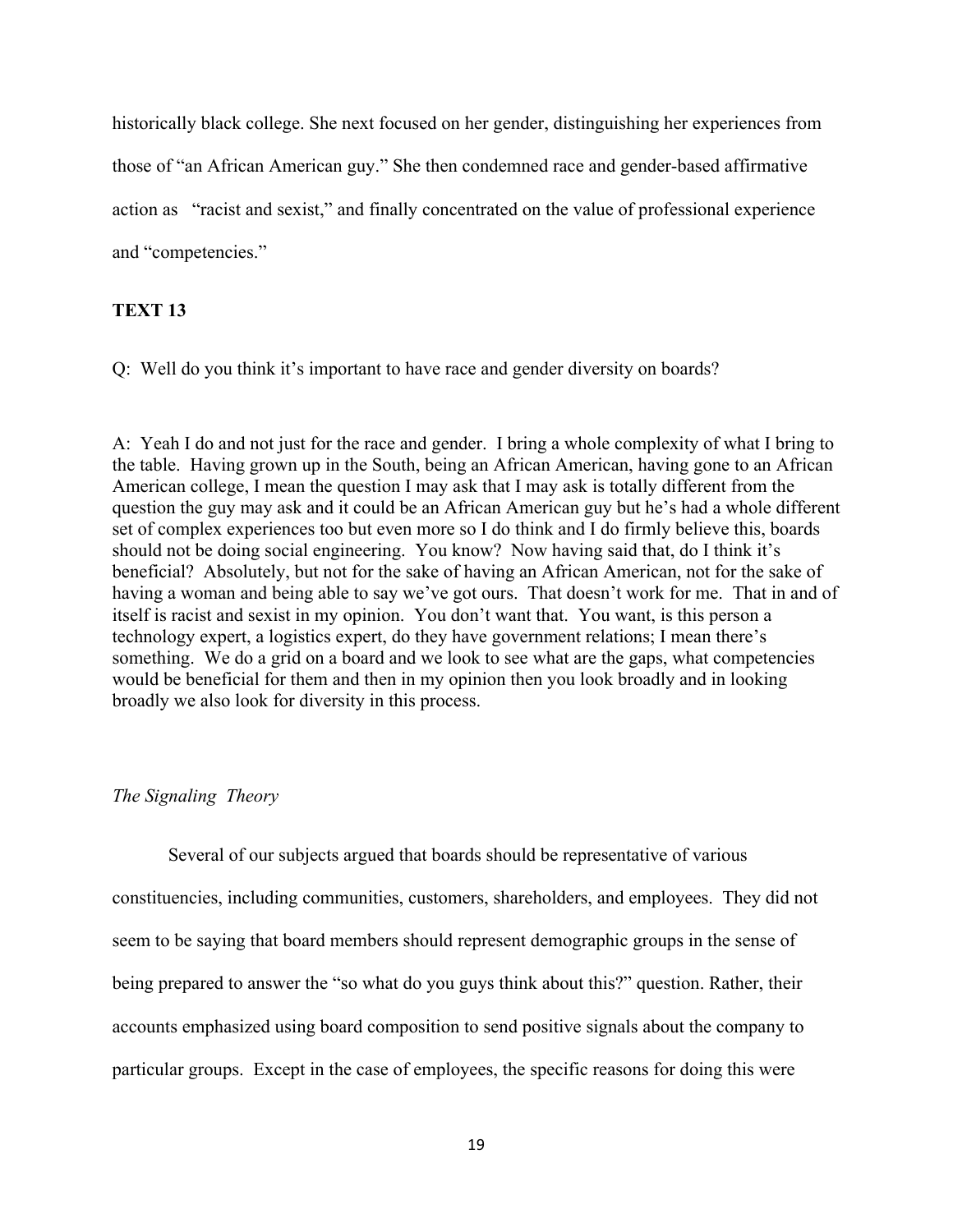historically black college. She next focused on her gender, distinguishing her experiences from those of "an African American guy." She then condemned race and gender-based affirmative action as "racist and sexist," and finally concentrated on the value of professional experience and "competencies."

## **TEXT 13**

Q: Well do you think it's important to have race and gender diversity on boards?

A: Yeah I do and not just for the race and gender. I bring a whole complexity of what I bring to the table. Having grown up in the South, being an African American, having gone to an African American college, I mean the question I may ask that I may ask is totally different from the question the guy may ask and it could be an African American guy but he's had a whole different set of complex experiences too but even more so I do think and I do firmly believe this, boards should not be doing social engineering. You know? Now having said that, do I think it's beneficial? Absolutely, but not for the sake of having an African American, not for the sake of having a woman and being able to say we've got ours. That doesn't work for me. That in and of itself is racist and sexist in my opinion. You don't want that. You want, is this person a technology expert, a logistics expert, do they have government relations; I mean there's something. We do a grid on a board and we look to see what are the gaps, what competencies would be beneficial for them and then in my opinion then you look broadly and in looking broadly we also look for diversity in this process.

### *The Signaling Theory*

Several of our subjects argued that boards should be representative of various constituencies, including communities, customers, shareholders, and employees. They did not seem to be saying that board members should represent demographic groups in the sense of being prepared to answer the "so what do you guys think about this?" question. Rather, their accounts emphasized using board composition to send positive signals about the company to particular groups. Except in the case of employees, the specific reasons for doing this were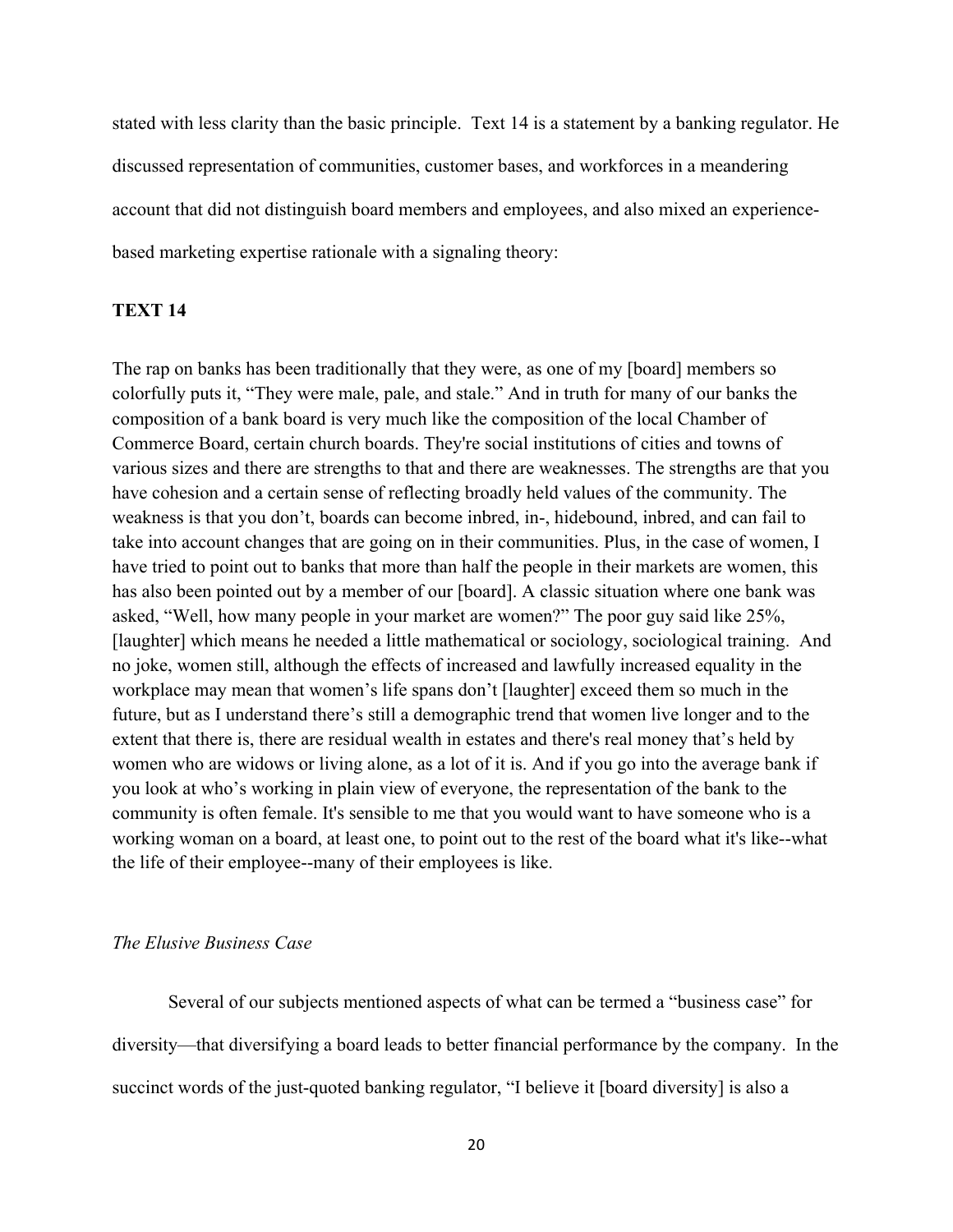stated with less clarity than the basic principle. Text 14 is a statement by a banking regulator. He discussed representation of communities, customer bases, and workforces in a meandering account that did not distinguish board members and employees, and also mixed an experiencebased marketing expertise rationale with a signaling theory:

## **TEXT 14**

The rap on banks has been traditionally that they were, as one of my [board] members so colorfully puts it, "They were male, pale, and stale." And in truth for many of our banks the composition of a bank board is very much like the composition of the local Chamber of Commerce Board, certain church boards. They're social institutions of cities and towns of various sizes and there are strengths to that and there are weaknesses. The strengths are that you have cohesion and a certain sense of reflecting broadly held values of the community. The weakness is that you don't, boards can become inbred, in-, hidebound, inbred, and can fail to take into account changes that are going on in their communities. Plus, in the case of women, I have tried to point out to banks that more than half the people in their markets are women, this has also been pointed out by a member of our [board]. A classic situation where one bank was asked, "Well, how many people in your market are women?" The poor guy said like 25%, [laughter] which means he needed a little mathematical or sociology, sociological training. And no joke, women still, although the effects of increased and lawfully increased equality in the workplace may mean that women's life spans don't [laughter] exceed them so much in the future, but as I understand there's still a demographic trend that women live longer and to the extent that there is, there are residual wealth in estates and there's real money that's held by women who are widows or living alone, as a lot of it is. And if you go into the average bank if you look at who's working in plain view of everyone, the representation of the bank to the community is often female. It's sensible to me that you would want to have someone who is a working woman on a board, at least one, to point out to the rest of the board what it's like--what the life of their employee--many of their employees is like.

### *The Elusive Business Case*

Several of our subjects mentioned aspects of what can be termed a "business case" for diversity—that diversifying a board leads to better financial performance by the company. In the succinct words of the just-quoted banking regulator, "I believe it [board diversity] is also a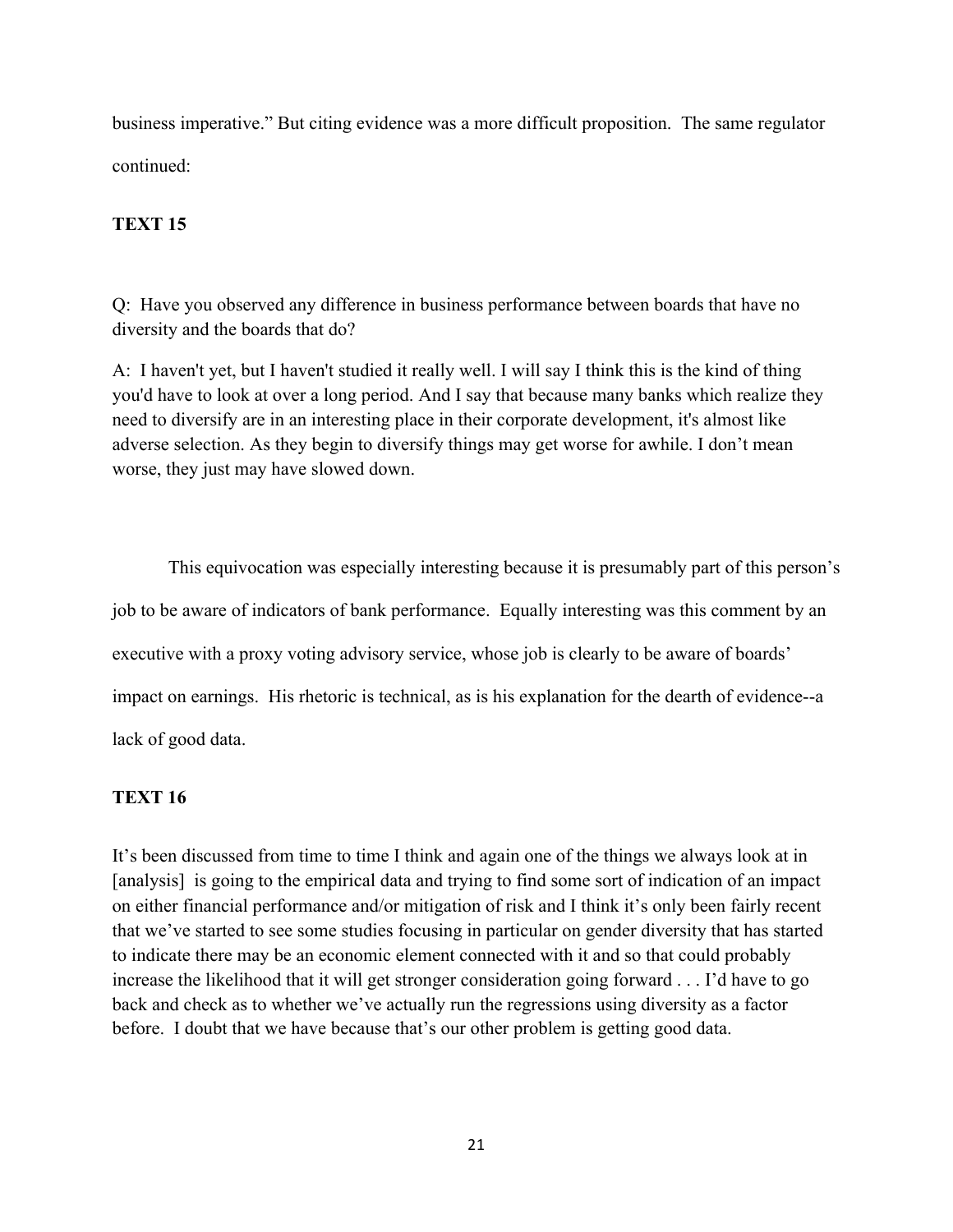business imperative." But citing evidence was a more difficult proposition. The same regulator continued:

# **TEXT 15**

Q: Have you observed any difference in business performance between boards that have no diversity and the boards that do?

A: I haven't yet, but I haven't studied it really well. I will say I think this is the kind of thing you'd have to look at over a long period. And I say that because many banks which realize they need to diversify are in an interesting place in their corporate development, it's almost like adverse selection. As they begin to diversify things may get worse for awhile. I don't mean worse, they just may have slowed down.

This equivocation was especially interesting because it is presumably part of this person's job to be aware of indicators of bank performance. Equally interesting was this comment by an executive with a proxy voting advisory service, whose job is clearly to be aware of boards' impact on earnings. His rhetoric is technical, as is his explanation for the dearth of evidence--a lack of good data.

## **TEXT 16**

It's been discussed from time to time I think and again one of the things we always look at in [analysis] is going to the empirical data and trying to find some sort of indication of an impact on either financial performance and/or mitigation of risk and I think it's only been fairly recent that we've started to see some studies focusing in particular on gender diversity that has started to indicate there may be an economic element connected with it and so that could probably increase the likelihood that it will get stronger consideration going forward . . . I'd have to go back and check as to whether we've actually run the regressions using diversity as a factor before. I doubt that we have because that's our other problem is getting good data.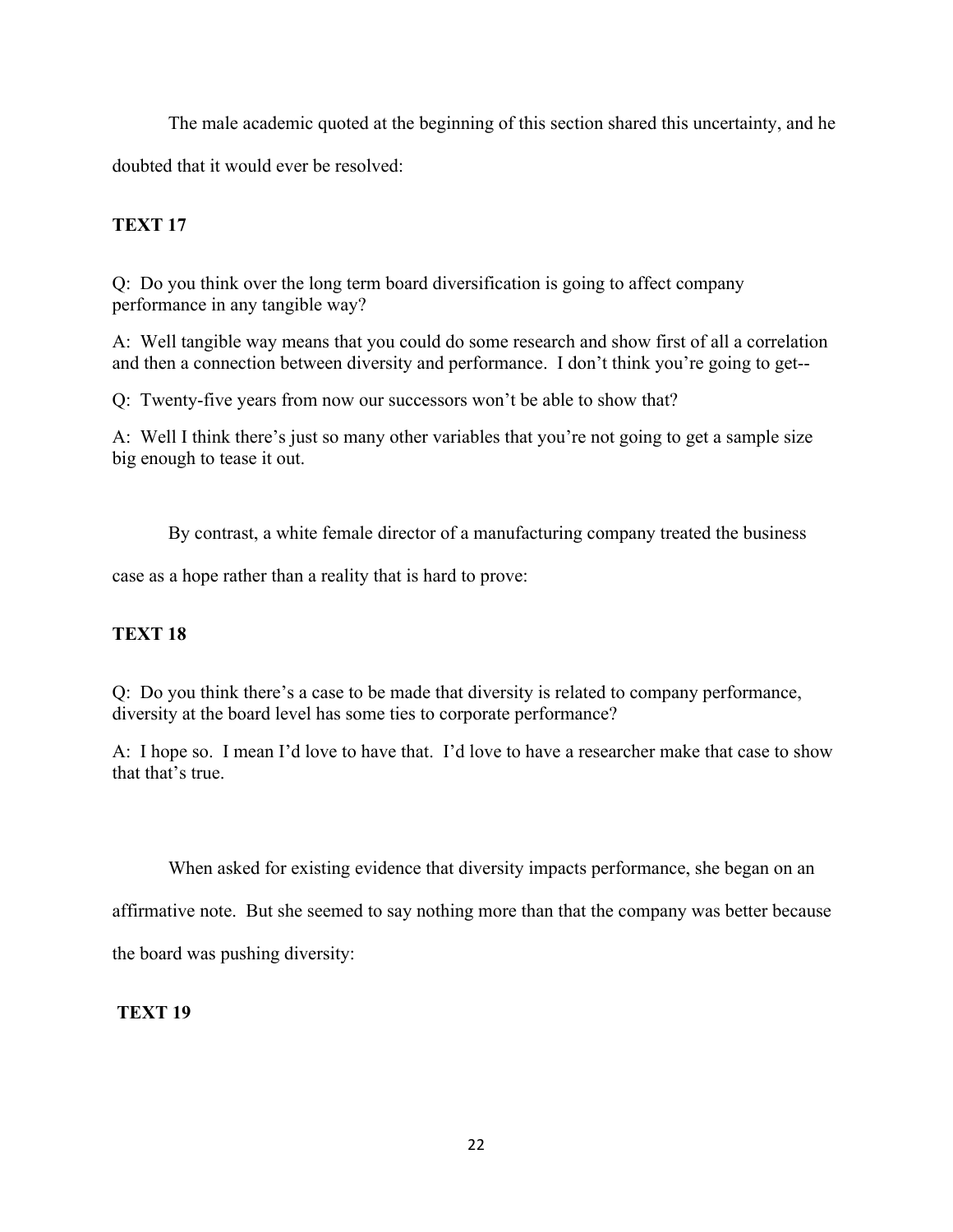The male academic quoted at the beginning of this section shared this uncertainty, and he doubted that it would ever be resolved:

## **TEXT 17**

Q: Do you think over the long term board diversification is going to affect company performance in any tangible way?

A: Well tangible way means that you could do some research and show first of all a correlation and then a connection between diversity and performance. I don't think you're going to get--

Q: Twenty-five years from now our successors won't be able to show that?

A: Well I think there's just so many other variables that you're not going to get a sample size big enough to tease it out.

By contrast, a white female director of a manufacturing company treated the business

case as a hope rather than a reality that is hard to prove:

# **TEXT 18**

Q: Do you think there's a case to be made that diversity is related to company performance, diversity at the board level has some ties to corporate performance?

A: I hope so. I mean I'd love to have that. I'd love to have a researcher make that case to show that that's true.

When asked for existing evidence that diversity impacts performance, she began on an

affirmative note. But she seemed to say nothing more than that the company was better because

the board was pushing diversity:

## **TEXT 19**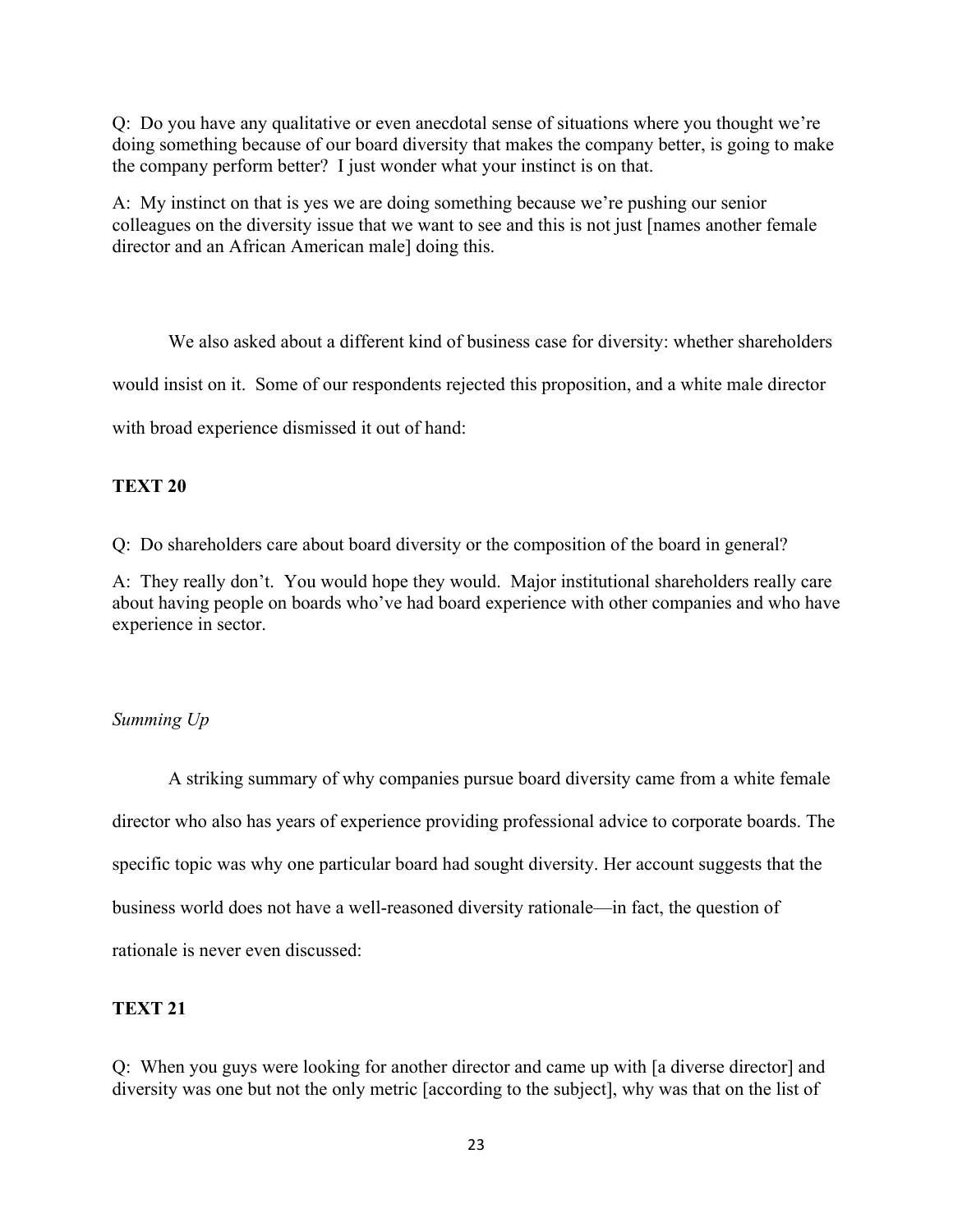Q: Do you have any qualitative or even anecdotal sense of situations where you thought we're doing something because of our board diversity that makes the company better, is going to make the company perform better? I just wonder what your instinct is on that.

A: My instinct on that is yes we are doing something because we're pushing our senior colleagues on the diversity issue that we want to see and this is not just [names another female director and an African American male] doing this.

We also asked about a different kind of business case for diversity: whether shareholders would insist on it. Some of our respondents rejected this proposition, and a white male director with broad experience dismissed it out of hand:

## **TEXT 20**

Q: Do shareholders care about board diversity or the composition of the board in general?

A: They really don't. You would hope they would. Major institutional shareholders really care about having people on boards who've had board experience with other companies and who have experience in sector.

## *Summing Up*

A striking summary of why companies pursue board diversity came from a white female director who also has years of experience providing professional advice to corporate boards. The specific topic was why one particular board had sought diversity. Her account suggests that the business world does not have a well-reasoned diversity rationale—in fact, the question of rationale is never even discussed:

### **TEXT 21**

Q: When you guys were looking for another director and came up with [a diverse director] and diversity was one but not the only metric [according to the subject], why was that on the list of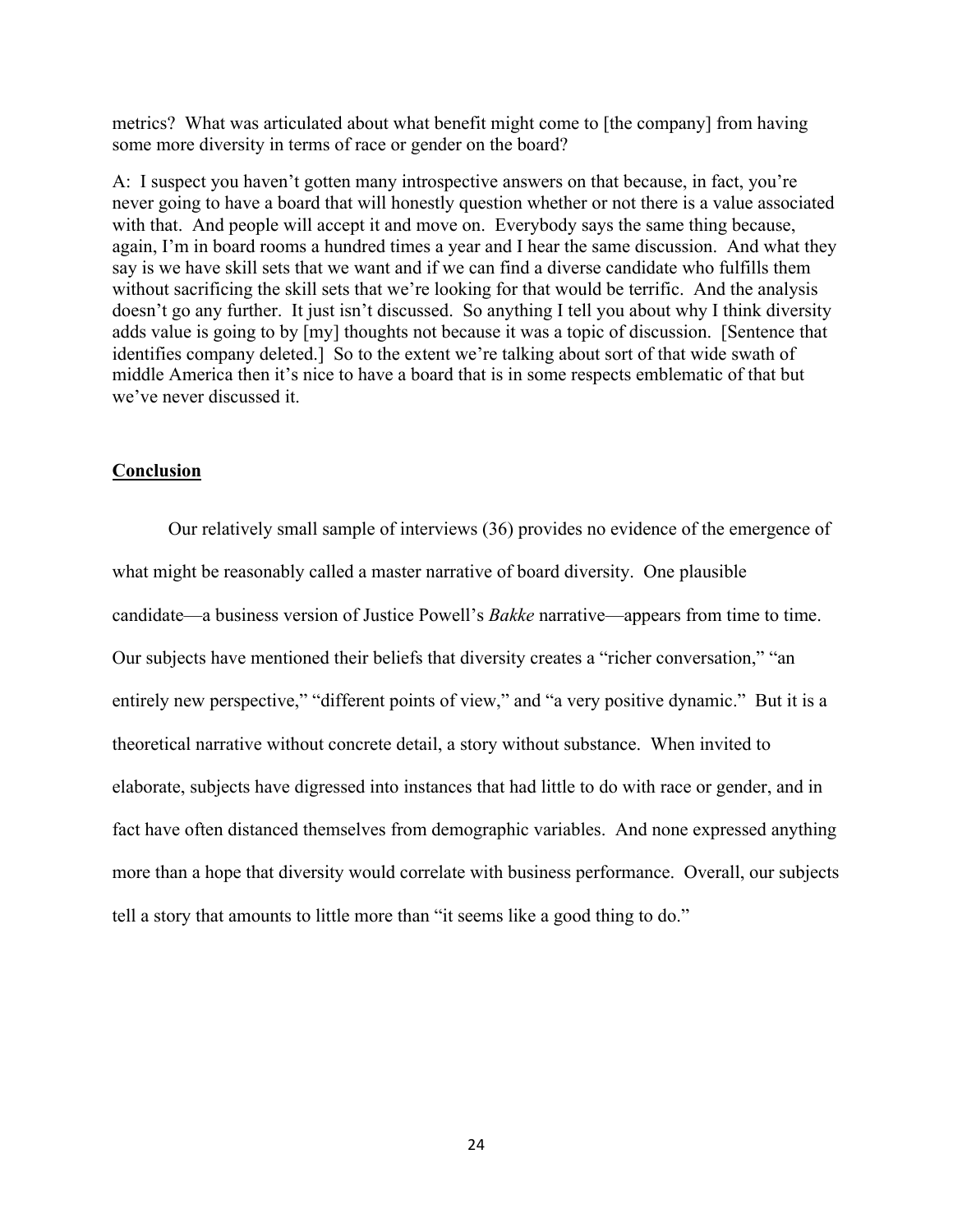metrics? What was articulated about what benefit might come to [the company] from having some more diversity in terms of race or gender on the board?

A: I suspect you haven't gotten many introspective answers on that because, in fact, you're never going to have a board that will honestly question whether or not there is a value associated with that. And people will accept it and move on. Everybody says the same thing because, again, I'm in board rooms a hundred times a year and I hear the same discussion. And what they say is we have skill sets that we want and if we can find a diverse candidate who fulfills them without sacrificing the skill sets that we're looking for that would be terrific. And the analysis doesn't go any further. It just isn't discussed. So anything I tell you about why I think diversity adds value is going to by [my] thoughts not because it was a topic of discussion. [Sentence that identifies company deleted.] So to the extent we're talking about sort of that wide swath of middle America then it's nice to have a board that is in some respects emblematic of that but we've never discussed it.

### **Conclusion**

Our relatively small sample of interviews (36) provides no evidence of the emergence of what might be reasonably called a master narrative of board diversity. One plausible candidate—a business version of Justice Powell's *Bakke* narrative—appears from time to time. Our subjects have mentioned their beliefs that diversity creates a "richer conversation," "an entirely new perspective," "different points of view," and "a very positive dynamic." But it is a theoretical narrative without concrete detail, a story without substance. When invited to elaborate, subjects have digressed into instances that had little to do with race or gender, and in fact have often distanced themselves from demographic variables. And none expressed anything more than a hope that diversity would correlate with business performance. Overall, our subjects tell a story that amounts to little more than "it seems like a good thing to do."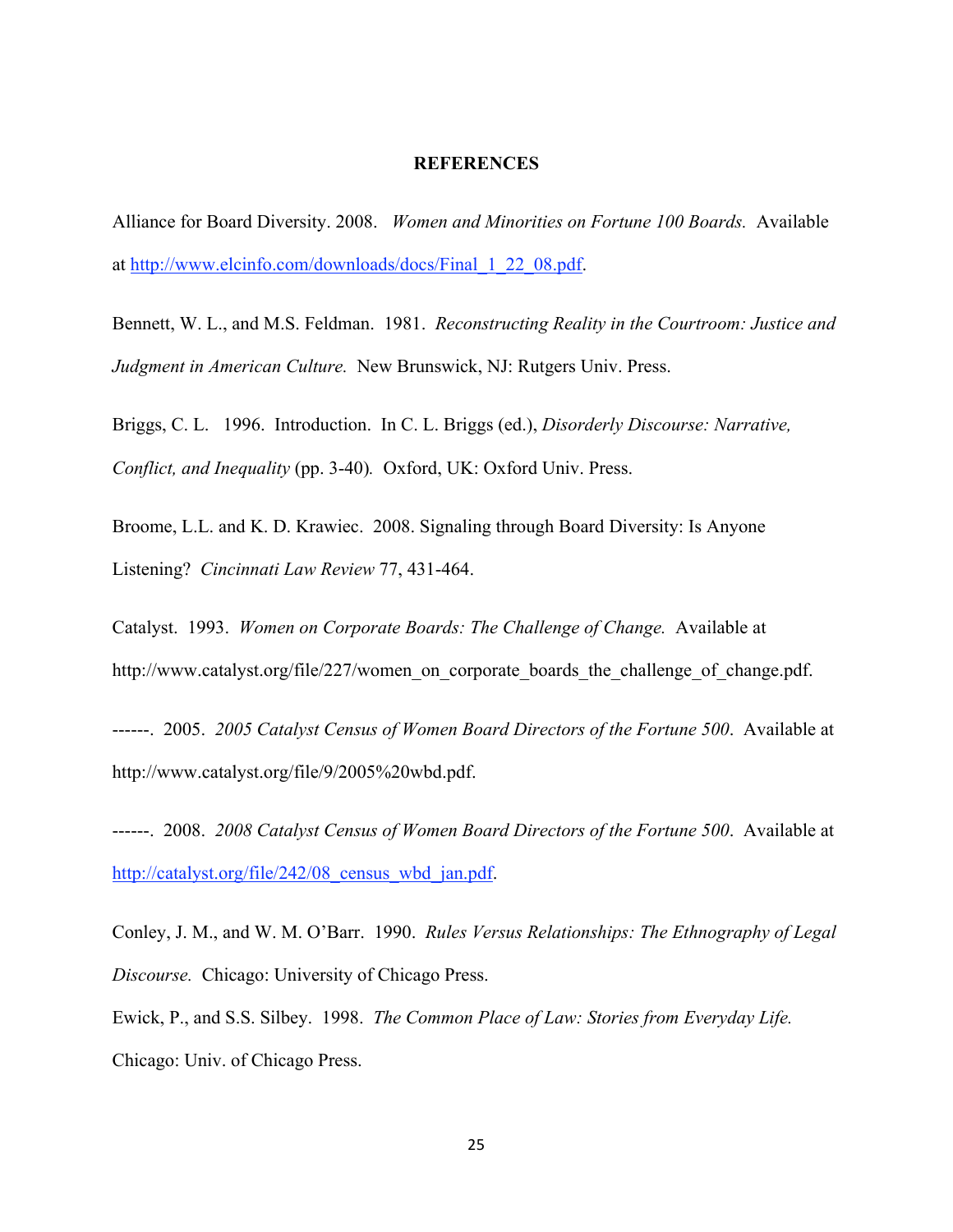#### **REFERENCES**

Alliance for Board Diversity. 2008. *Women and Minorities on Fortune 100 Boards.* Available at http://www.elcinfo.com/downloads/docs/Final\_1\_22\_08.pdf.

Bennett, W. L., and M.S. Feldman. 1981. *Reconstructing Reality in the Courtroom: Justice and Judgment in American Culture.* New Brunswick, NJ: Rutgers Univ. Press.

Briggs, C. L. 1996. Introduction. In C. L. Briggs (ed.), *Disorderly Discourse: Narrative, Conflict, and Inequality* (pp. 3-40)*.* Oxford, UK: Oxford Univ. Press.

Broome, L.L. and K. D. Krawiec. 2008. Signaling through Board Diversity: Is Anyone Listening? *Cincinnati Law Review* 77, 431-464.

Catalyst. 1993. *Women on Corporate Boards: The Challenge of Change.* Available at http://www.catalyst.org/file/227/women\_on\_corporate\_boards\_the\_challenge\_of\_change.pdf.

------. 2005. *2005 Catalyst Census of Women Board Directors of the Fortune 500*. Available at http://www.catalyst.org/file/9/2005%20wbd.pdf.

------. 2008. *2008 Catalyst Census of Women Board Directors of the Fortune 500*. Available at http://catalyst.org/file/242/08 census wbd jan.pdf.

Conley, J. M., and W. M. O'Barr. 1990. *Rules Versus Relationships: The Ethnography of Legal Discourse.* Chicago: University of Chicago Press.

Ewick, P., and S.S. Silbey. 1998. *The Common Place of Law: Stories from Everyday Life.*  Chicago: Univ. of Chicago Press.